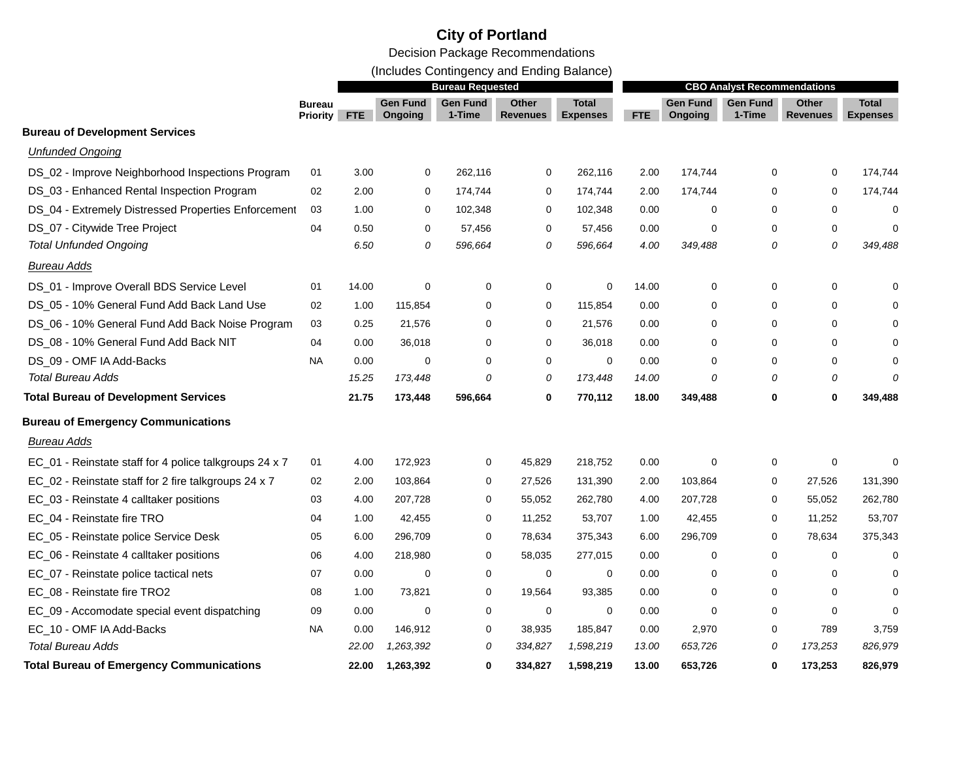(Includes Contingency and Ending Balance)

|                                                        | <b>Bureau Requested</b>          |            |                            |                           | <b>CBO Analyst Recommendations</b> |                                 |       |                            |                           |                          |                                 |
|--------------------------------------------------------|----------------------------------|------------|----------------------------|---------------------------|------------------------------------|---------------------------------|-------|----------------------------|---------------------------|--------------------------|---------------------------------|
|                                                        | <b>Bureau</b><br><b>Priority</b> | <b>FTE</b> | <b>Gen Fund</b><br>Ongoing | <b>Gen Fund</b><br>1-Time | Other<br><b>Revenues</b>           | <b>Total</b><br><b>Expenses</b> | FTE   | <b>Gen Fund</b><br>Ongoing | <b>Gen Fund</b><br>1-Time | <b>Other</b><br>Revenues | <b>Total</b><br><b>Expenses</b> |
| <b>Bureau of Development Services</b>                  |                                  |            |                            |                           |                                    |                                 |       |                            |                           |                          |                                 |
| <b>Unfunded Ongoing</b>                                |                                  |            |                            |                           |                                    |                                 |       |                            |                           |                          |                                 |
| DS_02 - Improve Neighborhood Inspections Program       | 01                               | 3.00       | 0                          | 262,116                   | 0                                  | 262,116                         | 2.00  | 174,744                    | 0                         | 0                        | 174,744                         |
| DS_03 - Enhanced Rental Inspection Program             | 02                               | 2.00       | 0                          | 174,744                   | 0                                  | 174,744                         | 2.00  | 174,744                    | 0                         | 0                        | 174,744                         |
| DS_04 - Extremely Distressed Properties Enforcement    | 03                               | 1.00       | 0                          | 102,348                   | 0                                  | 102,348                         | 0.00  | 0                          | 0                         | 0                        | 0                               |
| DS_07 - Citywide Tree Project                          | 04                               | 0.50       | 0                          | 57,456                    | 0                                  | 57,456                          | 0.00  | $\Omega$                   | 0                         | $\mathbf 0$              | $\mathbf 0$                     |
| <b>Total Unfunded Ongoing</b>                          |                                  | 6.50       | 0                          | 596,664                   | 0                                  | 596,664                         | 4.00  | 349,488                    | 0                         | 0                        | 349,488                         |
| <b>Bureau Adds</b>                                     |                                  |            |                            |                           |                                    |                                 |       |                            |                           |                          |                                 |
| DS_01 - Improve Overall BDS Service Level              | 01                               | 14.00      | 0                          | 0                         | 0                                  | 0                               | 14.00 | 0                          | 0                         | 0                        | O                               |
| DS_05 - 10% General Fund Add Back Land Use             | 02                               | 1.00       | 115,854                    | 0                         | 0                                  | 115,854                         | 0.00  | 0                          | 0                         | $\mathbf 0$              |                                 |
| DS_06 - 10% General Fund Add Back Noise Program        | 03                               | 0.25       | 21,576                     | $\mathbf 0$               | $\mathbf 0$                        | 21,576                          | 0.00  | 0                          | 0                         | $\mathbf 0$              |                                 |
| DS_08 - 10% General Fund Add Back NIT                  | 04                               | 0.00       | 36,018                     | 0                         | 0                                  | 36,018                          | 0.00  | 0                          | 0                         | $\mathbf 0$              |                                 |
| DS_09 - OMF IA Add-Backs                               | <b>NA</b>                        | 0.00       | $\mathbf 0$                | $\Omega$                  | $\mathbf 0$                        | 0                               | 0.00  | $\Omega$                   | 0                         | $\mathbf 0$              | $\Omega$                        |
| <b>Total Bureau Adds</b>                               |                                  | 15.25      | 173,448                    | 0                         | 0                                  | 173,448                         | 14.00 | 0                          | 0                         | 0                        | $\Omega$                        |
| <b>Total Bureau of Development Services</b>            |                                  | 21.75      | 173,448                    | 596,664                   | 0                                  | 770,112                         | 18.00 | 349,488                    | 0                         | $\bf{0}$                 | 349,488                         |
| <b>Bureau of Emergency Communications</b>              |                                  |            |                            |                           |                                    |                                 |       |                            |                           |                          |                                 |
| Bureau Adds                                            |                                  |            |                            |                           |                                    |                                 |       |                            |                           |                          |                                 |
| EC_01 - Reinstate staff for 4 police talkgroups 24 x 7 | 01                               | 4.00       | 172,923                    | 0                         | 45,829                             | 218,752                         | 0.00  | 0                          | 0                         | $\Omega$                 | $\Omega$                        |
| EC_02 - Reinstate staff for 2 fire talkgroups 24 x 7   | 02                               | 2.00       | 103,864                    | 0                         | 27,526                             | 131,390                         | 2.00  | 103,864                    | 0                         | 27,526                   | 131,390                         |
| EC_03 - Reinstate 4 calltaker positions                | 03                               | 4.00       | 207,728                    | $\mathbf 0$               | 55,052                             | 262,780                         | 4.00  | 207,728                    | 0                         | 55,052                   | 262,780                         |
| EC_04 - Reinstate fire TRO                             | 04                               | 1.00       | 42,455                     | 0                         | 11,252                             | 53,707                          | 1.00  | 42,455                     | 0                         | 11,252                   | 53,707                          |
| EC_05 - Reinstate police Service Desk                  | 05                               | 6.00       | 296,709                    | $\mathbf 0$               | 78,634                             | 375,343                         | 6.00  | 296,709                    | 0                         | 78,634                   | 375,343                         |
| EC_06 - Reinstate 4 calltaker positions                | 06                               | 4.00       | 218,980                    | 0                         | 58,035                             | 277,015                         | 0.00  | 0                          | 0                         | 0                        | 0                               |
| EC_07 - Reinstate police tactical nets                 | 07                               | 0.00       | $\mathbf 0$                | $\mathbf 0$               | $\mathbf 0$                        | $\mathbf 0$                     | 0.00  | $\Omega$                   | 0                         | $\Omega$                 | $\Omega$                        |
| EC_08 - Reinstate fire TRO2                            | 08                               | 1.00       | 73,821                     | $\mathbf 0$               | 19,564                             | 93,385                          | 0.00  | 0                          | 0                         | $\mathbf 0$              | $\Omega$                        |
| EC_09 - Accomodate special event dispatching           | 09                               | 0.00       | 0                          | 0                         | $\mathbf 0$                        | 0                               | 0.00  | $\Omega$                   | $\Omega$                  | $\Omega$                 | $\Omega$                        |
| EC_10 - OMF IA Add-Backs                               | <b>NA</b>                        | 0.00       | 146,912                    | 0                         | 38,935                             | 185,847                         | 0.00  | 2,970                      | 0                         | 789                      | 3,759                           |
| <b>Total Bureau Adds</b>                               |                                  | 22.00      | 1,263,392                  | 0                         | 334,827                            | 1,598,219                       | 13.00 | 653,726                    | 0                         | 173,253                  | 826,979                         |
| <b>Total Bureau of Emergency Communications</b>        |                                  | 22.00      | 1,263,392                  | $\bf{0}$                  | 334,827                            | 1,598,219                       | 13.00 | 653,726                    | 0                         | 173,253                  | 826,979                         |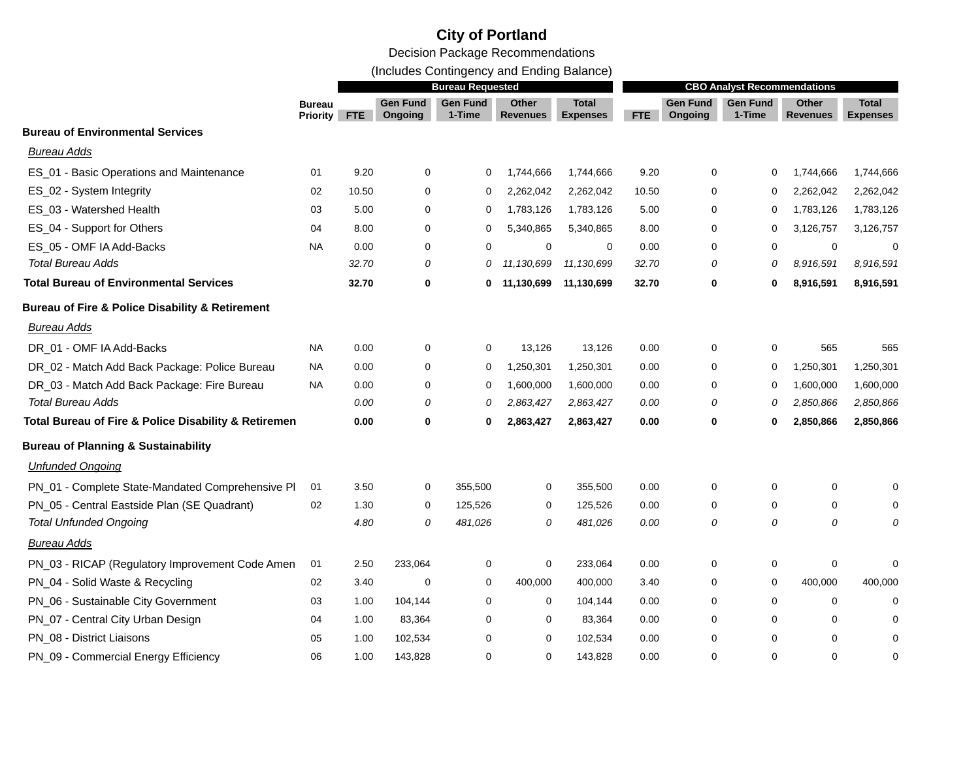(Includes Contingency and Ending Balance)

|                                                                | <b>Bureau Requested</b>          |            |                     |                           |                          | <b>CBO Analyst Recommendations</b> |       |                            |                           |                          |                                 |
|----------------------------------------------------------------|----------------------------------|------------|---------------------|---------------------------|--------------------------|------------------------------------|-------|----------------------------|---------------------------|--------------------------|---------------------------------|
|                                                                | <b>Bureau</b><br><b>Priority</b> | <b>FTE</b> | Gen Fund<br>Ongoing | <b>Gen Fund</b><br>1-Time | Other<br><b>Revenues</b> | <b>Total</b><br><b>Expenses</b>    | FTE   | <b>Gen Fund</b><br>Ongoing | <b>Gen Fund</b><br>1-Time | Other<br><b>Revenues</b> | <b>Total</b><br><b>Expenses</b> |
| <b>Bureau of Environmental Services</b>                        |                                  |            |                     |                           |                          |                                    |       |                            |                           |                          |                                 |
| Bureau Adds                                                    |                                  |            |                     |                           |                          |                                    |       |                            |                           |                          |                                 |
| ES_01 - Basic Operations and Maintenance                       | 01                               | 9.20       | 0                   | 0                         | 1,744,666                | 1,744,666                          | 9.20  | 0                          | 0                         | 1,744,666                | 1,744,666                       |
| ES_02 - System Integrity                                       | 02                               | 10.50      | 0                   | 0                         | 2,262,042                | 2,262,042                          | 10.50 | 0                          | 0                         | 2,262,042                | 2,262,042                       |
| ES_03 - Watershed Health                                       | 03                               | 5.00       | 0                   | 0                         | 1,783,126                | 1,783,126                          | 5.00  | 0                          | 0                         | 1,783,126                | 1,783,126                       |
| ES_04 - Support for Others                                     | 04                               | 8.00       | 0                   | 0                         | 5,340,865                | 5,340,865                          | 8.00  | 0                          | 0                         | 3,126,757                | 3,126,757                       |
| ES_05 - OMF IA Add-Backs                                       | <b>NA</b>                        | 0.00       | 0                   | $\Omega$                  | $\Omega$                 | $\Omega$                           | 0.00  | $\Omega$                   | $\Omega$                  | $\mathbf 0$              | $\Omega$                        |
| <b>Total Bureau Adds</b>                                       |                                  | 32.70      | 0                   | 0                         | 11,130,699               | 11,130,699                         | 32.70 | 0                          | 0                         | 8,916,591                | 8,916,591                       |
| <b>Total Bureau of Environmental Services</b>                  |                                  | 32.70      | 0                   | 0                         | 11,130,699               | 11,130,699                         | 32.70 | $\mathbf 0$                | 0                         | 8,916,591                | 8,916,591                       |
| <b>Bureau of Fire &amp; Police Disability &amp; Retirement</b> |                                  |            |                     |                           |                          |                                    |       |                            |                           |                          |                                 |
| <b>Bureau Adds</b>                                             |                                  |            |                     |                           |                          |                                    |       |                            |                           |                          |                                 |
| DR_01 - OMF IA Add-Backs                                       | NA                               | 0.00       | 0                   | 0                         | 13,126                   | 13,126                             | 0.00  | $\mathbf 0$                | 0                         | 565                      | 565                             |
| DR_02 - Match Add Back Package: Police Bureau                  | <b>NA</b>                        | 0.00       | 0                   | 0                         | 1,250,301                | 1,250,301                          | 0.00  | 0                          | 0                         | 1,250,301                | 1,250,301                       |
| DR_03 - Match Add Back Package: Fire Bureau                    | NA                               | 0.00       | 0                   | 0                         | 1,600,000                | 1,600,000                          | 0.00  | 0                          | 0                         | 1,600,000                | 1,600,000                       |
| <b>Total Bureau Adds</b>                                       |                                  | 0.00       | 0                   | 0                         | 2,863,427                | 2,863,427                          | 0.00  | 0                          | 0                         | 2,850,866                | 2,850,866                       |
| Total Bureau of Fire & Police Disability & Retiremen           |                                  | 0.00       | 0                   | 0                         | 2,863,427                | 2,863,427                          | 0.00  | 0                          | 0                         | 2,850,866                | 2,850,866                       |
| <b>Bureau of Planning &amp; Sustainability</b>                 |                                  |            |                     |                           |                          |                                    |       |                            |                           |                          |                                 |
| <b>Unfunded Ongoing</b>                                        |                                  |            |                     |                           |                          |                                    |       |                            |                           |                          |                                 |
| PN_01 - Complete State-Mandated Comprehensive PI               | 01                               | 3.50       | 0                   | 355,500                   | 0                        | 355,500                            | 0.00  | 0                          | 0                         | 0                        | O                               |
| PN_05 - Central Eastside Plan (SE Quadrant)                    | 02                               | 1.30       | 0                   | 125,526                   | $\mathbf 0$              | 125,526                            | 0.00  | $\Omega$                   | 0                         | 0                        | 0                               |
| <b>Total Unfunded Ongoing</b>                                  |                                  | 4.80       | 0                   | 481,026                   | 0                        | 481,026                            | 0.00  | 0                          | 0                         | 0                        |                                 |
| <b>Bureau Adds</b>                                             |                                  |            |                     |                           |                          |                                    |       |                            |                           |                          |                                 |
| PN_03 - RICAP (Regulatory Improvement Code Amen                | 01                               | 2.50       | 233,064             | 0                         | 0                        | 233,064                            | 0.00  | 0                          | 0                         | 0                        | $\Omega$                        |
| PN_04 - Solid Waste & Recycling                                | 02                               | 3.40       | 0                   | 0                         | 400,000                  | 400,000                            | 3.40  | 0                          | 0                         | 400,000                  | 400,000                         |
| PN_06 - Sustainable City Government                            | 03                               | 1.00       | 104,144             | 0                         | $\mathbf 0$              | 104,144                            | 0.00  | 0                          | $\mathbf 0$               | $\mathbf 0$              | $\Omega$                        |
| PN_07 - Central City Urban Design                              | 04                               | 1.00       | 83,364              | $\Omega$                  | 0                        | 83,364                             | 0.00  | 0                          | 0                         | 0                        | $\Omega$                        |
| PN_08 - District Liaisons                                      | 05                               | 1.00       | 102,534             | 0                         | 0                        | 102,534                            | 0.00  | $\Omega$                   | $\mathbf 0$               | $\Omega$                 | $\Omega$                        |
| PN_09 - Commercial Energy Efficiency                           | 06                               | 1.00       | 143,828             | $\Omega$                  | $\Omega$                 | 143,828                            | 0.00  | $\Omega$                   | $\Omega$                  | $\Omega$                 | $\Omega$                        |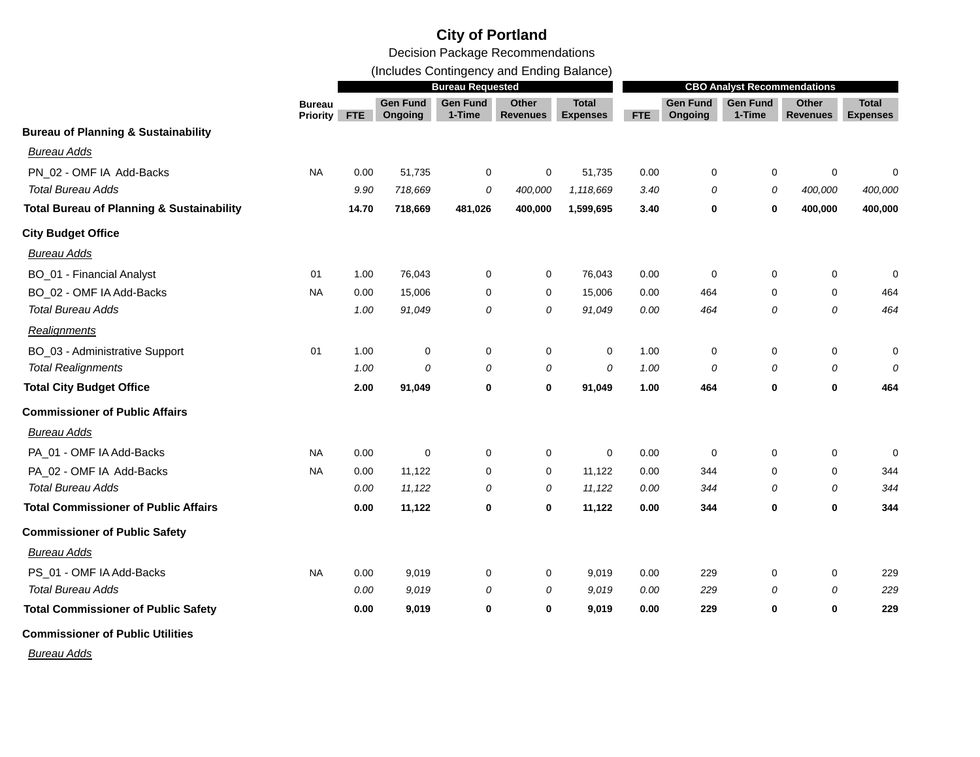Decision Package Recommendations

(Includes Contingency and Ending Balance)

|                                                      |                                  | <b>Bureau Requested</b> |                            |                           |                                 |                                 |            | <b>CBO Analyst Recommendations</b> |                           |                                 |                                 |  |
|------------------------------------------------------|----------------------------------|-------------------------|----------------------------|---------------------------|---------------------------------|---------------------------------|------------|------------------------------------|---------------------------|---------------------------------|---------------------------------|--|
|                                                      | <b>Bureau</b><br><b>Priority</b> | <b>FTE</b>              | <b>Gen Fund</b><br>Ongoing | <b>Gen Fund</b><br>1-Time | <b>Other</b><br><b>Revenues</b> | <b>Total</b><br><b>Expenses</b> | <b>FTE</b> | <b>Gen Fund</b><br>Ongoing         | <b>Gen Fund</b><br>1-Time | <b>Other</b><br><b>Revenues</b> | <b>Total</b><br><b>Expenses</b> |  |
| <b>Bureau of Planning &amp; Sustainability</b>       |                                  |                         |                            |                           |                                 |                                 |            |                                    |                           |                                 |                                 |  |
| <b>Bureau Adds</b>                                   |                                  |                         |                            |                           |                                 |                                 |            |                                    |                           |                                 |                                 |  |
| PN_02 - OMF IA Add-Backs                             | <b>NA</b>                        | 0.00                    | 51,735                     | 0                         | 0                               | 51,735                          | 0.00       | 0                                  | 0                         | 0                               | 0                               |  |
| <b>Total Bureau Adds</b>                             |                                  | 9.90                    | 718,669                    | 0                         | 400,000                         | 1,118,669                       | 3.40       | 0                                  | 0                         | 400,000                         | 400,000                         |  |
| <b>Total Bureau of Planning &amp; Sustainability</b> |                                  | 14.70                   | 718,669                    | 481,026                   | 400,000                         | 1,599,695                       | 3.40       | 0                                  | 0                         | 400,000                         | 400,000                         |  |
| <b>City Budget Office</b>                            |                                  |                         |                            |                           |                                 |                                 |            |                                    |                           |                                 |                                 |  |
| <b>Bureau Adds</b>                                   |                                  |                         |                            |                           |                                 |                                 |            |                                    |                           |                                 |                                 |  |
| <b>BO_01 - Financial Analyst</b>                     | 01                               | 1.00                    | 76,043                     | $\mathbf 0$               | $\mathbf 0$                     | 76,043                          | 0.00       | $\mathbf 0$                        | $\mathbf 0$               | 0                               | $\mathbf 0$                     |  |
| BO_02 - OMF IA Add-Backs                             | <b>NA</b>                        | 0.00                    | 15,006                     | 0                         | $\mathbf 0$                     | 15,006                          | 0.00       | 464                                | $\Omega$                  | 0                               | 464                             |  |
| <b>Total Bureau Adds</b>                             |                                  | 1.00                    | 91,049                     | 0                         | 0                               | 91,049                          | 0.00       | 464                                | $\overline{O}$            | 0                               | 464                             |  |
| Realignments                                         |                                  |                         |                            |                           |                                 |                                 |            |                                    |                           |                                 |                                 |  |
| BO_03 - Administrative Support                       | 01                               | 1.00                    | 0                          | 0                         | $\mathbf 0$                     | 0                               | 1.00       | $\mathbf 0$                        | $\Omega$                  | 0                               | 0                               |  |
| <b>Total Realignments</b>                            |                                  | 1.00                    | 0                          | 0                         | 0                               | 0                               | 1.00       | 0                                  | 0                         | 0                               | 0                               |  |
| <b>Total City Budget Office</b>                      |                                  | 2.00                    | 91,049                     | $\bf{0}$                  | $\bf{0}$                        | 91,049                          | 1.00       | 464                                | 0                         | 0                               | 464                             |  |
| <b>Commissioner of Public Affairs</b>                |                                  |                         |                            |                           |                                 |                                 |            |                                    |                           |                                 |                                 |  |
| <b>Bureau Adds</b>                                   |                                  |                         |                            |                           |                                 |                                 |            |                                    |                           |                                 |                                 |  |
| PA_01 - OMF IA Add-Backs                             | NA                               | 0.00                    | 0                          | 0                         | $\mathbf 0$                     | 0                               | 0.00       | $\mathbf 0$                        | $\Omega$                  | 0                               | 0                               |  |
| PA_02 - OMF IA Add-Backs                             | NA                               | 0.00                    | 11,122                     | 0                         | $\mathbf 0$                     | 11,122                          | 0.00       | 344                                | $\mathbf 0$               | 0                               | 344                             |  |
| <b>Total Bureau Adds</b>                             |                                  | 0.00                    | 11,122                     | 0                         | 0                               | 11,122                          | 0.00       | 344                                | 0                         | 0                               | 344                             |  |
| <b>Total Commissioner of Public Affairs</b>          |                                  | 0.00                    | 11,122                     | $\bf{0}$                  | $\mathbf 0$                     | 11,122                          | 0.00       | 344                                | 0                         | 0                               | 344                             |  |
| <b>Commissioner of Public Safety</b>                 |                                  |                         |                            |                           |                                 |                                 |            |                                    |                           |                                 |                                 |  |
| <b>Bureau Adds</b>                                   |                                  |                         |                            |                           |                                 |                                 |            |                                    |                           |                                 |                                 |  |
| PS_01 - OMF IA Add-Backs                             | <b>NA</b>                        | 0.00                    | 9,019                      | 0                         | 0                               | 9,019                           | 0.00       | 229                                | $\Omega$                  | 0                               | 229                             |  |
| <b>Total Bureau Adds</b>                             |                                  | 0.00                    | 9,019                      | 0                         | 0                               | 9.019                           | 0.00       | 229                                | 0                         | 0                               | 229                             |  |
| <b>Total Commissioner of Public Safety</b>           |                                  | 0.00                    | 9,019                      | $\bf{0}$                  | $\mathbf 0$                     | 9,019                           | 0.00       | 229                                | 0                         | 0                               | 229                             |  |
| <b>Commissioner of Public Utilities</b>              |                                  |                         |                            |                           |                                 |                                 |            |                                    |                           |                                 |                                 |  |

*Bureau Adds*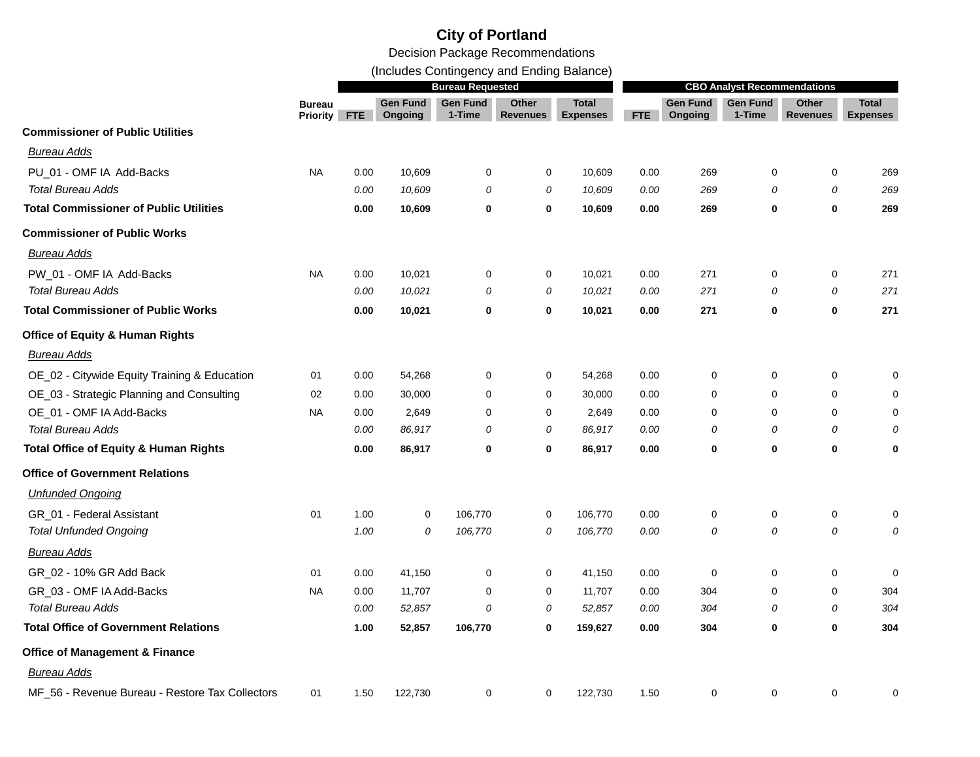(Includes Contingency and Ending Balance)

|                                                  | <b>Bureau Requested</b>          |            |                            |                           |                          |                                 | <b>CBO Analyst Recommendations</b> |                            |                           |                          |                                 |
|--------------------------------------------------|----------------------------------|------------|----------------------------|---------------------------|--------------------------|---------------------------------|------------------------------------|----------------------------|---------------------------|--------------------------|---------------------------------|
|                                                  | <b>Bureau</b><br><b>Priority</b> | <b>FTE</b> | <b>Gen Fund</b><br>Ongoing | <b>Gen Fund</b><br>1-Time | Other<br><b>Revenues</b> | <b>Total</b><br><b>Expenses</b> | FTE                                | <b>Gen Fund</b><br>Ongoing | <b>Gen Fund</b><br>1-Time | Other<br><b>Revenues</b> | <b>Total</b><br><b>Expenses</b> |
| <b>Commissioner of Public Utilities</b>          |                                  |            |                            |                           |                          |                                 |                                    |                            |                           |                          |                                 |
| <b>Bureau Adds</b>                               |                                  |            |                            |                           |                          |                                 |                                    |                            |                           |                          |                                 |
| PU_01 - OMF IA Add-Backs                         | <b>NA</b>                        | 0.00       | 10,609                     | 0                         | 0                        | 10,609                          | 0.00                               | 269                        | 0                         | 0                        | 269                             |
| <b>Total Bureau Adds</b>                         |                                  | 0.00       | 10,609                     | 0                         | 0                        | 10,609                          | 0.00                               | 269                        | 0                         | 0                        | 269                             |
| <b>Total Commissioner of Public Utilities</b>    |                                  | 0.00       | 10,609                     | $\bf{0}$                  | $\bf{0}$                 | 10,609                          | 0.00                               | 269                        | $\mathbf 0$               | $\bf{0}$                 | 269                             |
| <b>Commissioner of Public Works</b>              |                                  |            |                            |                           |                          |                                 |                                    |                            |                           |                          |                                 |
| Bureau Adds                                      |                                  |            |                            |                           |                          |                                 |                                    |                            |                           |                          |                                 |
| PW_01 - OMF IA Add-Backs                         | <b>NA</b>                        | 0.00       | 10,021                     | 0                         | $\mathbf 0$              | 10,021                          | 0.00                               | 271                        | $\mathbf 0$               | 0                        | 271                             |
| <b>Total Bureau Adds</b>                         |                                  | 0.00       | 10,021                     | 0                         | 0                        | 10,021                          | 0.00                               | 271                        | 0                         | 0                        | 271                             |
| <b>Total Commissioner of Public Works</b>        |                                  | 0.00       | 10,021                     | 0                         | $\bf{0}$                 | 10,021                          | 0.00                               | 271                        | 0                         | 0                        | 271                             |
| <b>Office of Equity &amp; Human Rights</b>       |                                  |            |                            |                           |                          |                                 |                                    |                            |                           |                          |                                 |
| <b>Bureau Adds</b>                               |                                  |            |                            |                           |                          |                                 |                                    |                            |                           |                          |                                 |
| OE_02 - Citywide Equity Training & Education     | 01                               | 0.00       | 54,268                     | 0                         | 0                        | 54,268                          | 0.00                               | 0                          | 0                         | 0                        | 0                               |
| OE_03 - Strategic Planning and Consulting        | 02                               | 0.00       | 30,000                     | 0                         | $\mathbf 0$              | 30,000                          | 0.00                               | 0                          | $\mathbf 0$               | 0                        | 0                               |
| OE_01 - OMF IA Add-Backs                         | NA                               | 0.00       | 2,649                      | $\mathbf 0$               | $\mathbf 0$              | 2,649                           | 0.00                               | $\mathbf 0$                | $\Omega$                  | $\mathbf 0$              | $\mathbf 0$                     |
| <b>Total Bureau Adds</b>                         |                                  | 0.00       | 86,917                     | 0                         | 0                        | 86,917                          | 0.00                               | 0                          | 0                         | 0                        | 0                               |
| <b>Total Office of Equity &amp; Human Rights</b> |                                  | 0.00       | 86,917                     | 0                         | 0                        | 86,917                          | 0.00                               | 0                          | 0                         | 0                        | 0                               |
| <b>Office of Government Relations</b>            |                                  |            |                            |                           |                          |                                 |                                    |                            |                           |                          |                                 |
| <b>Unfunded Ongoing</b>                          |                                  |            |                            |                           |                          |                                 |                                    |                            |                           |                          |                                 |
| GR_01 - Federal Assistant                        | 01                               | 1.00       | 0                          | 106,770                   | 0                        | 106,770                         | 0.00                               | 0                          | 0                         | $\pmb{0}$                | 0                               |
| <b>Total Unfunded Ongoing</b>                    |                                  | 1.00       | 0                          | 106,770                   | 0                        | 106,770                         | 0.00                               | 0                          | 0                         | 0                        | 0                               |
| Bureau Adds                                      |                                  |            |                            |                           |                          |                                 |                                    |                            |                           |                          |                                 |
| GR_02 - 10% GR Add Back                          | 01                               | 0.00       | 41,150                     | 0                         | $\mathbf 0$              | 41,150                          | 0.00                               | $\mathbf 0$                | $\mathbf 0$               | $\mathbf 0$              | $\mathbf 0$                     |
| GR_03 - OMF IA Add-Backs                         | NA.                              | 0.00       | 11,707                     | $\mathbf 0$               | $\pmb{0}$                | 11,707                          | 0.00                               | 304                        | $\Omega$                  | $\mathbf 0$              | 304                             |
| <b>Total Bureau Adds</b>                         |                                  | 0.00       | 52,857                     | 0                         | 0                        | 52,857                          | 0.00                               | 304                        | 0                         | 0                        | 304                             |
| <b>Total Office of Government Relations</b>      |                                  | 1.00       | 52,857                     | 106,770                   | 0                        | 159,627                         | 0.00                               | 304                        | 0                         | 0                        | 304                             |
| <b>Office of Management &amp; Finance</b>        |                                  |            |                            |                           |                          |                                 |                                    |                            |                           |                          |                                 |
| <b>Bureau Adds</b>                               |                                  |            |                            |                           |                          |                                 |                                    |                            |                           |                          |                                 |
| MF_56 - Revenue Bureau - Restore Tax Collectors  | 01                               | 1.50       | 122,730                    | $\mathbf 0$               | $\mathbf 0$              | 122,730                         | 1.50                               | 0                          | $\mathbf 0$               | $\mathbf 0$              | 0                               |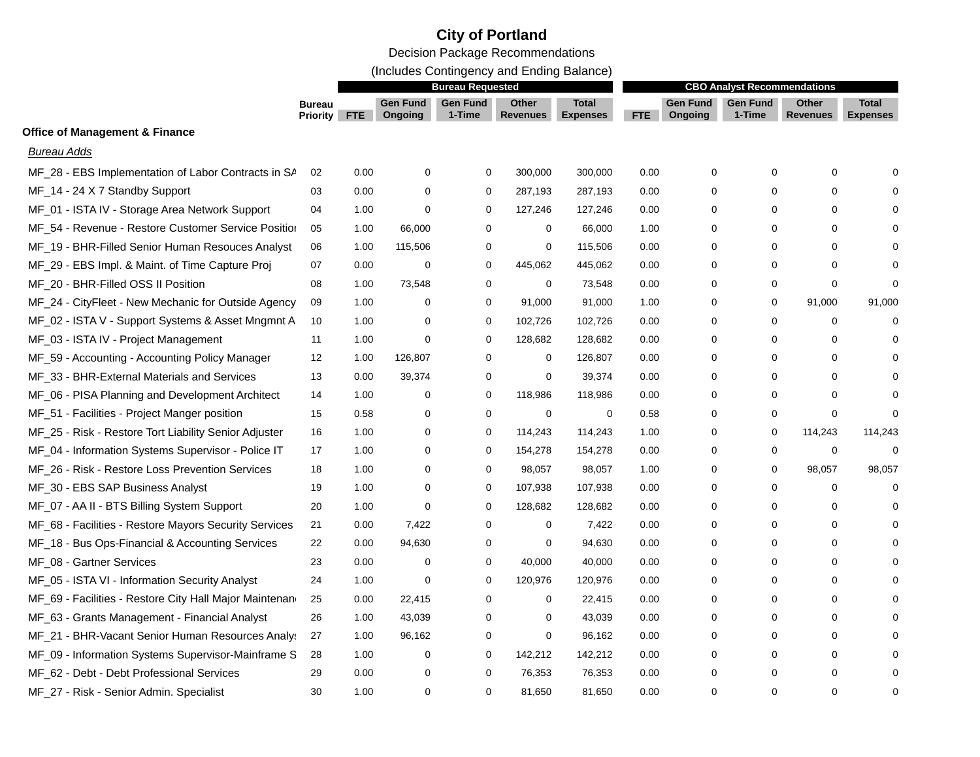Decision Package Recommendations

(Includes Contingency and Ending Balance)

|                                                        | <b>Bureau Requested</b>          |            |                            |                           |                          | <b>CBO Analyst Recommendations</b> |      |                            |                           |                   |                                 |
|--------------------------------------------------------|----------------------------------|------------|----------------------------|---------------------------|--------------------------|------------------------------------|------|----------------------------|---------------------------|-------------------|---------------------------------|
|                                                        | <b>Bureau</b><br><b>Priority</b> | <b>FTE</b> | <b>Gen Fund</b><br>Ongoing | <b>Gen Fund</b><br>1-Time | Other<br><b>Revenues</b> | <b>Total</b><br><b>Expenses</b>    | FTE  | <b>Gen Fund</b><br>Ongoing | <b>Gen Fund</b><br>1-Time | Other<br>Revenues | <b>Total</b><br><b>Expenses</b> |
| <b>Office of Management &amp; Finance</b>              |                                  |            |                            |                           |                          |                                    |      |                            |                           |                   |                                 |
| <b>Bureau Adds</b>                                     |                                  |            |                            |                           |                          |                                    |      |                            |                           |                   |                                 |
| MF 28 - EBS Implementation of Labor Contracts in SA    | 02                               | 0.00       | 0                          | $\mathbf 0$               | 300,000                  | 300,000                            | 0.00 | $\Omega$                   | 0                         | 0                 |                                 |
| MF_14 - 24 X 7 Standby Support                         | 03                               | 0.00       | 0                          | 0                         | 287,193                  | 287,193                            | 0.00 | $\Omega$                   | 0                         | 0                 |                                 |
| MF_01 - ISTA IV - Storage Area Network Support         | 04                               | 1.00       | 0                          | 0                         | 127,246                  | 127,246                            | 0.00 | 0                          | 0                         | $\mathbf 0$       |                                 |
| MF_54 - Revenue - Restore Customer Service Position    | 05                               | 1.00       | 66,000                     | 0                         | 0                        | 66,000                             | 1.00 | 0                          | 0                         | 0                 |                                 |
| MF_19 - BHR-Filled Senior Human Resouces Analyst       | 06                               | 1.00       | 115,506                    | $\mathbf 0$               | 0                        | 115,506                            | 0.00 | 0                          | 0                         | $\mathbf 0$       |                                 |
| MF_29 - EBS Impl. & Maint. of Time Capture Proj        | 07                               | 0.00       | 0                          | $\mathbf 0$               | 445,062                  | 445,062                            | 0.00 | 0                          | $\mathbf 0$               | $\mathbf 0$       | $\Omega$                        |
| MF_20 - BHR-Filled OSS II Position                     | 08                               | 1.00       | 73,548                     | $\mathbf 0$               | $\mathbf 0$              | 73,548                             | 0.00 | 0                          | $\mathbf 0$               | $\mathbf 0$       | $\Omega$                        |
| MF_24 - CityFleet - New Mechanic for Outside Agency    | 09                               | 1.00       | 0                          | 0                         | 91,000                   | 91,000                             | 1.00 | 0                          | 0                         | 91,000            | 91,000                          |
| MF_02 - ISTA V - Support Systems & Asset Mngmnt A      | 10                               | 1.00       | 0                          | $\mathbf 0$               | 102,726                  | 102,726                            | 0.00 | 0                          | 0                         | 0                 |                                 |
| MF_03 - ISTA IV - Project Management                   | 11                               | 1.00       | 0                          | $\Omega$                  | 128,682                  | 128,682                            | 0.00 | $\Omega$                   | $\Omega$                  | 0                 | $\Omega$                        |
| MF_59 - Accounting - Accounting Policy Manager         | 12                               | 1.00       | 126,807                    | 0                         | 0                        | 126,807                            | 0.00 | 0                          | 0                         | 0                 |                                 |
| MF_33 - BHR-External Materials and Services            | 13                               | 0.00       | 39,374                     | 0                         | 0                        | 39,374                             | 0.00 | 0                          | 0                         | 0                 |                                 |
| MF_06 - PISA Planning and Development Architect        | 14                               | 1.00       | 0                          | $\mathbf 0$               | 118,986                  | 118,986                            | 0.00 | 0                          | 0                         | $\mathbf 0$       |                                 |
| MF_51 - Facilities - Project Manger position           | 15                               | 0.58       | 0                          | $\mathbf 0$               | $\mathbf 0$              | 0                                  | 0.58 | 0                          | 0                         | $\mathbf 0$       | $\Omega$                        |
| MF_25 - Risk - Restore Tort Liability Senior Adjuster  | 16                               | 1.00       | 0                          | 0                         | 114,243                  | 114,243                            | 1.00 | 0                          | 0                         | 114,243           | 114,243                         |
| MF_04 - Information Systems Supervisor - Police IT     | 17                               | 1.00       | 0                          | 0                         | 154,278                  | 154,278                            | 0.00 | 0                          | 0                         | 0                 | $\Omega$                        |
| MF_26 - Risk - Restore Loss Prevention Services        | 18                               | 1.00       | 0                          | $\mathbf 0$               | 98,057                   | 98,057                             | 1.00 | 0                          | 0                         | 98,057            | 98,057                          |
| MF_30 - EBS SAP Business Analyst                       | 19                               | 1.00       | 0                          | 0                         | 107,938                  | 107,938                            | 0.00 | 0                          | 0                         | 0                 | $\Omega$                        |
| MF_07 - AA II - BTS Billing System Support             | 20                               | 1.00       | 0                          | $\mathbf 0$               | 128,682                  | 128,682                            | 0.00 | 0                          | 0                         | 0                 | ∩                               |
| MF_68 - Facilities - Restore Mayors Security Services  | 21                               | 0.00       | 7,422                      | $\mathbf 0$               | 0                        | 7,422                              | 0.00 | 0                          | 0                         | $\mathbf 0$       |                                 |
| MF_18 - Bus Ops-Financial & Accounting Services        | 22                               | 0.00       | 94,630                     | 0                         | 0                        | 94,630                             | 0.00 | 0                          | 0                         | 0                 |                                 |
| MF 08 - Gartner Services                               | 23                               | 0.00       | 0                          | $\mathbf 0$               | 40,000                   | 40,000                             | 0.00 | 0                          | $\Omega$                  | $\Omega$          |                                 |
| MF_05 - ISTA VI - Information Security Analyst         | 24                               | 1.00       | $\mathbf 0$                | $\mathbf 0$               | 120,976                  | 120,976                            | 0.00 | 0                          | 0                         | $\mathbf 0$       |                                 |
| MF_69 - Facilities - Restore City Hall Major Maintenan | 25                               | 0.00       | 22,415                     | $\mathbf 0$               | 0                        | 22,415                             | 0.00 | 0                          | $\Omega$                  | $\mathbf 0$       |                                 |
| MF_63 - Grants Management - Financial Analyst          | 26                               | 1.00       | 43,039                     | 0                         | 0                        | 43,039                             | 0.00 | 0                          | 0                         | 0                 |                                 |
| MF_21 - BHR-Vacant Senior Human Resources Analy:       | 27                               | 1.00       | 96,162                     | 0                         | 0                        | 96,162                             | 0.00 | $\Omega$                   | 0                         | 0                 |                                 |
| MF_09 - Information Systems Supervisor-Mainframe S     | 28                               | 1.00       | 0                          | 0                         | 142,212                  | 142,212                            | 0.00 | $\Omega$                   | 0                         | $\mathbf 0$       |                                 |
| MF_62 - Debt - Debt Professional Services              | 29                               | 0.00       | 0                          | $\mathbf 0$               | 76,353                   | 76,353                             | 0.00 | 0                          | $\Omega$                  | $\Omega$          | 0                               |
| MF_27 - Risk - Senior Admin. Specialist                | 30                               | 1.00       | $\mathbf 0$                | $\Omega$                  | 81,650                   | 81,650                             | 0.00 | $\Omega$                   | $\Omega$                  | $\Omega$          | $\Omega$                        |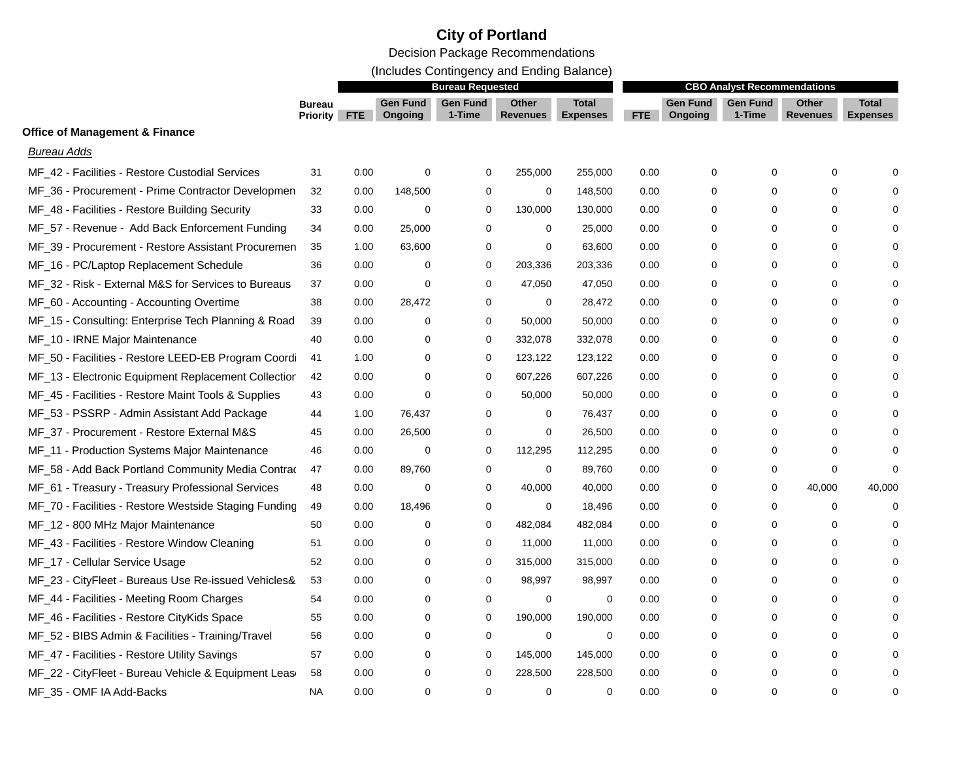(Includes Contingency and Ending Balance)

|                                                       |                                  |            |                            | <b>Bureau Requested</b>   |                          |                                 |      |                            | <b>CBO Analyst Recommendations</b> |                                 |                                 |
|-------------------------------------------------------|----------------------------------|------------|----------------------------|---------------------------|--------------------------|---------------------------------|------|----------------------------|------------------------------------|---------------------------------|---------------------------------|
|                                                       | <b>Bureau</b><br><b>Priority</b> | <b>FTE</b> | <b>Gen Fund</b><br>Ongoing | <b>Gen Fund</b><br>1-Time | Other<br><b>Revenues</b> | <b>Total</b><br><b>Expenses</b> | FTE  | <b>Gen Fund</b><br>Ongoing | <b>Gen Fund</b><br>1-Time          | <b>Other</b><br><b>Revenues</b> | <b>Total</b><br><b>Expenses</b> |
| <b>Office of Management &amp; Finance</b>             |                                  |            |                            |                           |                          |                                 |      |                            |                                    |                                 |                                 |
| <b>Bureau Adds</b>                                    |                                  |            |                            |                           |                          |                                 |      |                            |                                    |                                 |                                 |
| MF_42 - Facilities - Restore Custodial Services       | 31                               | 0.00       | 0                          | $\mathbf 0$               | 255,000                  | 255,000                         | 0.00 | $\Omega$                   | $\Omega$                           | 0                               |                                 |
| MF_36 - Procurement - Prime Contractor Developmen     | 32                               | 0.00       | 148,500                    | 0                         | 0                        | 148,500                         | 0.00 | $\Omega$                   | $\Omega$                           | 0                               |                                 |
| MF_48 - Facilities - Restore Building Security        | 33                               | 0.00       | 0                          | 0                         | 130,000                  | 130,000                         | 0.00 | 0                          | 0                                  | $\mathbf 0$                     |                                 |
| MF_57 - Revenue - Add Back Enforcement Funding        | 34                               | 0.00       | 25,000                     | 0                         | 0                        | 25,000                          | 0.00 | 0                          | 0                                  | 0                               |                                 |
| MF_39 - Procurement - Restore Assistant Procuremen    | 35                               | 1.00       | 63,600                     | 0                         | 0                        | 63,600                          | 0.00 | 0                          | $\Omega$                           | $\mathbf 0$                     |                                 |
| MF_16 - PC/Laptop Replacement Schedule                | 36                               | 0.00       | 0                          | $\mathbf 0$               | 203,336                  | 203,336                         | 0.00 | 0                          | 0                                  | $\mathbf 0$                     |                                 |
| MF_32 - Risk - External M&S for Services to Bureaus   | 37                               | 0.00       | 0                          | $\mathbf 0$               | 47,050                   | 47,050                          | 0.00 | $\Omega$                   | $\Omega$                           | $\mathbf 0$                     |                                 |
| MF_60 - Accounting - Accounting Overtime              | 38                               | 0.00       | 28,472                     | 0                         | $\mathbf 0$              | 28,472                          | 0.00 | 0                          | 0                                  | $\mathbf 0$                     |                                 |
| MF_15 - Consulting: Enterprise Tech Planning & Road   | 39                               | 0.00       | $\mathbf 0$                | 0                         | 50,000                   | 50,000                          | 0.00 | $\Omega$                   | $\Omega$                           | $\mathbf 0$                     |                                 |
| MF_10 - IRNE Major Maintenance                        | 40                               | 0.00       | 0                          | 0                         | 332,078                  | 332,078                         | 0.00 | $\Omega$                   | $\Omega$                           | 0                               |                                 |
| MF_50 - Facilities - Restore LEED-EB Program Coordi   | 41                               | 1.00       | 0                          | $\mathbf 0$               | 123,122                  | 123,122                         | 0.00 | 0                          | $\Omega$                           | 0                               |                                 |
| MF_13 - Electronic Equipment Replacement Collectior   | 42                               | 0.00       | 0                          | 0                         | 607,226                  | 607,226                         | 0.00 | 0                          | 0                                  | 0                               |                                 |
| MF_45 - Facilities - Restore Maint Tools & Supplies   | 43                               | 0.00       | 0                          | $\mathbf 0$               | 50,000                   | 50,000                          | 0.00 | 0                          | 0                                  | 0                               |                                 |
| MF_53 - PSSRP - Admin Assistant Add Package           | 44                               | 1.00       | 76,437                     | 0                         | 0                        | 76,437                          | 0.00 | 0                          | 0                                  | 0                               |                                 |
| MF_37 - Procurement - Restore External M&S            | 45                               | 0.00       | 26,500                     | $\mathbf 0$               | 0                        | 26,500                          | 0.00 | 0                          | 0                                  | $\mathbf 0$                     |                                 |
| MF_11 - Production Systems Major Maintenance          | 46                               | 0.00       | $\mathbf 0$                | 0                         | 112,295                  | 112,295                         | 0.00 | 0                          | 0                                  | 0                               |                                 |
| MF_58 - Add Back Portland Community Media Contrad     | 47                               | 0.00       | 89,760                     | 0                         | 0                        | 89,760                          | 0.00 | 0                          | 0                                  | $\mathbf 0$                     |                                 |
| MF_61 - Treasury - Treasury Professional Services     | 48                               | 0.00       | $\mathbf 0$                | $\mathbf 0$               | 40,000                   | 40,000                          | 0.00 | 0                          | 0                                  | 40,000                          | 40,000                          |
| MF_70 - Facilities - Restore Westside Staging Funding | 49                               | 0.00       | 18,496                     | $\mathbf 0$               | 0                        | 18,496                          | 0.00 | 0                          | $\mathbf 0$                        | $\mathbf 0$                     | $\Omega$                        |
| MF_12 - 800 MHz Major Maintenance                     | 50                               | 0.00       | 0                          | 0                         | 482,084                  | 482,084                         | 0.00 | 0                          | 0                                  | 0                               |                                 |
| MF_43 - Facilities - Restore Window Cleaning          | 51                               | 0.00       | 0                          | $\mathbf 0$               | 11,000                   | 11,000                          | 0.00 | 0                          | $\Omega$                           | 0                               |                                 |
| MF_17 - Cellular Service Usage                        | 52                               | 0.00       | 0                          | 0                         | 315,000                  | 315,000                         | 0.00 | 0                          | $\Omega$                           | 0                               |                                 |
| MF_23 - CityFleet - Bureaus Use Re-issued Vehicles&   | 53                               | 0.00       | 0                          | 0                         | 98,997                   | 98,997                          | 0.00 | $\Omega$                   | $\Omega$                           | 0                               |                                 |
| MF_44 - Facilities - Meeting Room Charges             | 54                               | 0.00       | 0                          | 0                         | 0                        | 0                               | 0.00 | 0                          | 0                                  | 0                               |                                 |
| MF_46 - Facilities - Restore CityKids Space           | 55                               | 0.00       | 0                          | 0                         | 190,000                  | 190,000                         | 0.00 | 0                          | 0                                  | 0                               |                                 |
| MF_52 - BIBS Admin & Facilities - Training/Travel     | 56                               | 0.00       | 0                          | 0                         | 0                        | 0                               | 0.00 | 0                          | 0                                  | 0                               |                                 |
| MF_47 - Facilities - Restore Utility Savings          | 57                               | 0.00       | 0                          | 0                         | 145,000                  | 145,000                         | 0.00 | $\Omega$                   | 0                                  | 0                               |                                 |
| MF_22 - CityFleet - Bureau Vehicle & Equipment Leas   | 58                               | 0.00       | 0                          | $\mathbf 0$               | 228,500                  | 228,500                         | 0.00 | $\Omega$                   | $\Omega$                           | 0                               |                                 |
| MF_35 - OMF IA Add-Backs                              | NА                               | 0.00       | 0                          | $\Omega$                  | $\Omega$                 | 0                               | 0.00 | 0                          | 0                                  | $\Omega$                        | $\Omega$                        |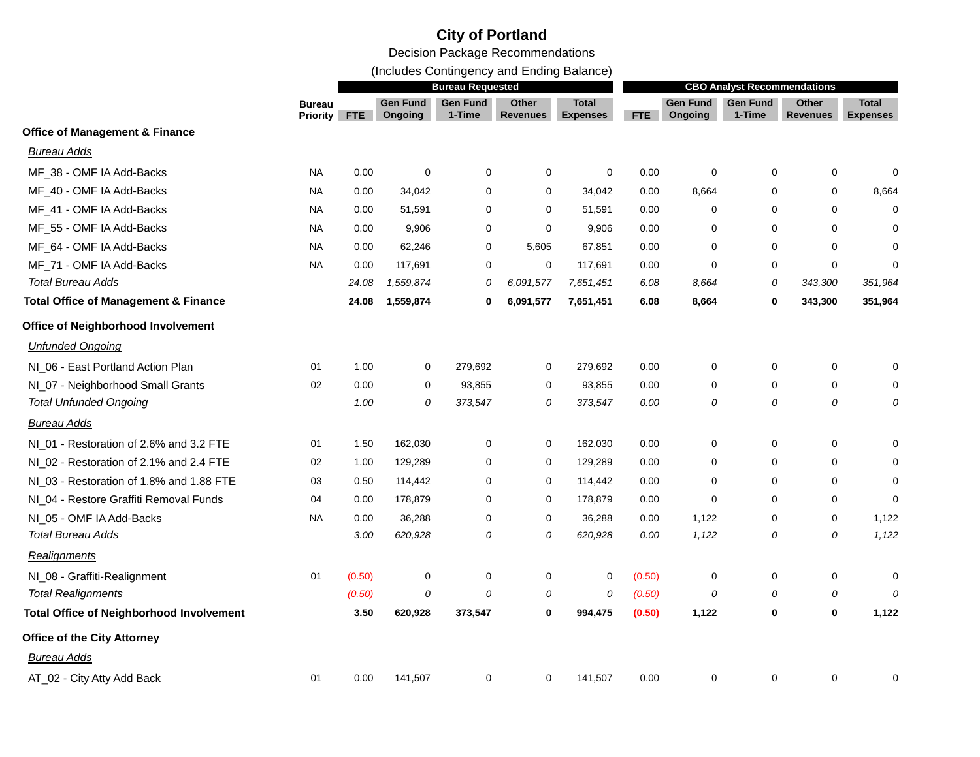(Includes Contingency and Ending Balance)

|                                                 |                                  | <b>Bureau Requested</b> |                            |                           |                          |                                 |        | <b>CBO Analyst Recommendations</b> |                           |                          |                          |  |
|-------------------------------------------------|----------------------------------|-------------------------|----------------------------|---------------------------|--------------------------|---------------------------------|--------|------------------------------------|---------------------------|--------------------------|--------------------------|--|
|                                                 | <b>Bureau</b><br><b>Priority</b> | <b>FTE</b>              | <b>Gen Fund</b><br>Ongoing | <b>Gen Fund</b><br>1-Time | Other<br><b>Revenues</b> | <b>Total</b><br><b>Expenses</b> | FTE    | <b>Gen Fund</b><br>Ongoing         | <b>Gen Fund</b><br>1-Time | Other<br><b>Revenues</b> | Total<br><b>Expenses</b> |  |
| <b>Office of Management &amp; Finance</b>       |                                  |                         |                            |                           |                          |                                 |        |                                    |                           |                          |                          |  |
| <b>Bureau Adds</b>                              |                                  |                         |                            |                           |                          |                                 |        |                                    |                           |                          |                          |  |
| MF_38 - OMF IA Add-Backs                        | <b>NA</b>                        | 0.00                    | $\mathbf 0$                | $\mathbf 0$               | $\mathbf 0$              | $\mathbf 0$                     | 0.00   | 0                                  | 0                         | $\mathbf 0$              | 0                        |  |
| MF_40 - OMF IA Add-Backs                        | NA                               | 0.00                    | 34,042                     | $\mathbf 0$               | 0                        | 34,042                          | 0.00   | 8,664                              | 0                         | 0                        | 8,664                    |  |
| MF_41 - OMF IA Add-Backs                        | NA                               | 0.00                    | 51,591                     | 0                         | 0                        | 51,591                          | 0.00   | 0                                  | 0                         | 0                        | 0                        |  |
| MF_55 - OMF IA Add-Backs                        | NA                               | 0.00                    | 9,906                      | $\mathbf 0$               | $\mathbf 0$              | 9,906                           | 0.00   | 0                                  | 0                         | 0                        | 0                        |  |
| MF_64 - OMF IA Add-Backs                        | NA                               | 0.00                    | 62,246                     | $\mathbf 0$               | 5,605                    | 67,851                          | 0.00   | 0                                  | 0                         | 0                        | $\Omega$                 |  |
| MF_71 - OMF IA Add-Backs                        | <b>NA</b>                        | 0.00                    | 117,691                    | 0                         | 0                        | 117,691                         | 0.00   | 0                                  | 0                         | $\mathbf 0$              | 0                        |  |
| <b>Total Bureau Adds</b>                        |                                  | 24.08                   | 1,559,874                  | 0                         | 6,091,577                | 7,651,451                       | 6.08   | 8,664                              | 0                         | 343,300                  | 351,964                  |  |
| <b>Total Office of Management &amp; Finance</b> |                                  | 24.08                   | 1,559,874                  | 0                         | 6,091,577                | 7,651,451                       | 6.08   | 8,664                              | 0                         | 343,300                  | 351,964                  |  |
| Office of Neighborhood Involvement              |                                  |                         |                            |                           |                          |                                 |        |                                    |                           |                          |                          |  |
| <b>Unfunded Ongoing</b>                         |                                  |                         |                            |                           |                          |                                 |        |                                    |                           |                          |                          |  |
| NI_06 - East Portland Action Plan               | 01                               | 1.00                    | $\mathbf 0$                | 279,692                   | 0                        | 279,692                         | 0.00   | $\mathbf 0$                        | 0                         | $\mathbf 0$              | 0                        |  |
| NI_07 - Neighborhood Small Grants               | 02                               | 0.00                    | $\mathbf 0$                | 93,855                    | 0                        | 93,855                          | 0.00   | 0                                  | $\mathbf 0$               | 0                        | $\Omega$                 |  |
| <b>Total Unfunded Ongoing</b>                   |                                  | 1.00                    | 0                          | 373,547                   | 0                        | 373,547                         | 0.00   | 0                                  | 0                         | 0                        | 0                        |  |
| <b>Bureau Adds</b>                              |                                  |                         |                            |                           |                          |                                 |        |                                    |                           |                          |                          |  |
| NI_01 - Restoration of 2.6% and 3.2 FTE         | 01                               | 1.50                    | 162,030                    | 0                         | 0                        | 162,030                         | 0.00   | 0                                  | 0                         | 0                        | 0                        |  |
| NI_02 - Restoration of 2.1% and 2.4 FTE         | 02                               | 1.00                    | 129,289                    | $\mathbf 0$               | 0                        | 129,289                         | 0.00   | 0                                  | 0                         | 0                        | 0                        |  |
| NI_03 - Restoration of 1.8% and 1.88 FTE        | 03                               | 0.50                    | 114,442                    | $\mathbf 0$               | $\mathbf 0$              | 114,442                         | 0.00   | $\Omega$                           | 0                         | $\mathbf 0$              | 0                        |  |
| NI_04 - Restore Graffiti Removal Funds          | 04                               | 0.00                    | 178,879                    | $\mathbf 0$               | $\mathbf 0$              | 178,879                         | 0.00   | $\mathbf 0$                        | 0                         | 0                        | 0                        |  |
| NI_05 - OMF IA Add-Backs                        | <b>NA</b>                        | 0.00                    | 36,288                     | $\mathbf 0$               | 0                        | 36,288                          | 0.00   | 1,122                              | 0                         | 0                        | 1,122                    |  |
| Total Bureau Adds                               |                                  | 3.00                    | 620,928                    | 0                         | 0                        | 620,928                         | 0.00   | 1,122                              | 0                         | 0                        | 1,122                    |  |
| Realignments                                    |                                  |                         |                            |                           |                          |                                 |        |                                    |                           |                          |                          |  |
| NI_08 - Graffiti-Realignment                    | 01                               | (0.50)                  | 0                          | $\mathbf 0$               | 0                        | 0                               | (0.50) | 0                                  | 0                         | 0                        | 0                        |  |
| <b>Total Realignments</b>                       |                                  | (0.50)                  | 0                          | 0                         | 0                        | 0                               | (0.50) | 0                                  | 0                         | 0                        | 0                        |  |
| <b>Total Office of Neighborhood Involvement</b> |                                  | 3.50                    | 620,928                    | 373,547                   | 0                        | 994,475                         | (0.50) | 1,122                              | 0                         | 0                        | 1,122                    |  |
| <b>Office of the City Attorney</b>              |                                  |                         |                            |                           |                          |                                 |        |                                    |                           |                          |                          |  |
| Bureau Adds                                     |                                  |                         |                            |                           |                          |                                 |        |                                    |                           |                          |                          |  |
| AT_02 - City Atty Add Back                      | 01                               | 0.00                    | 141,507                    | 0                         | 0                        | 141,507                         | 0.00   | 0                                  | 0                         | 0                        | 0                        |  |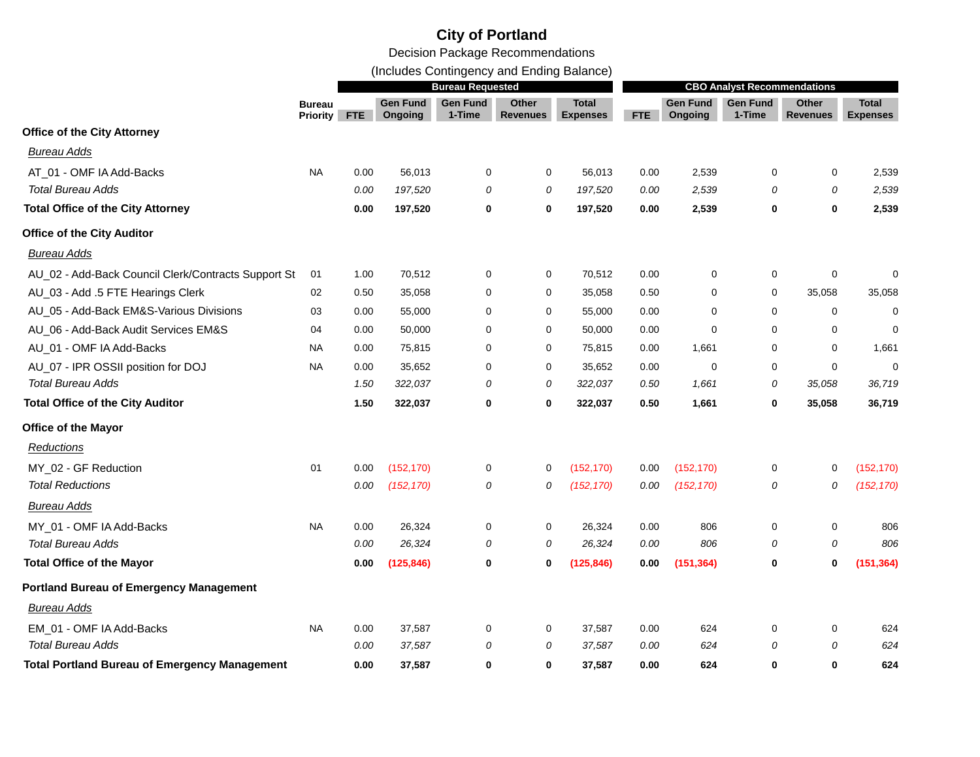Decision Package Recommendations

(Includes Contingency and Ending Balance)

|                                                      |                                  | <b>Bureau Requested</b> |                            |                           |                          |                                 |      | <b>CBO Analyst Recommendations</b> |                           |                          |                                 |  |
|------------------------------------------------------|----------------------------------|-------------------------|----------------------------|---------------------------|--------------------------|---------------------------------|------|------------------------------------|---------------------------|--------------------------|---------------------------------|--|
|                                                      | <b>Bureau</b><br><b>Priority</b> | <b>FTE</b>              | <b>Gen Fund</b><br>Ongoing | <b>Gen Fund</b><br>1-Time | Other<br><b>Revenues</b> | <b>Total</b><br><b>Expenses</b> | FTE  | <b>Gen Fund</b><br>Ongoing         | <b>Gen Fund</b><br>1-Time | Other<br><b>Revenues</b> | <b>Total</b><br><b>Expenses</b> |  |
| <b>Office of the City Attorney</b>                   |                                  |                         |                            |                           |                          |                                 |      |                                    |                           |                          |                                 |  |
| <b>Bureau Adds</b>                                   |                                  |                         |                            |                           |                          |                                 |      |                                    |                           |                          |                                 |  |
| AT_01 - OMF IA Add-Backs                             | <b>NA</b>                        | 0.00                    | 56,013                     | 0                         | 0                        | 56,013                          | 0.00 | 2,539                              | 0                         | 0                        | 2,539                           |  |
| <b>Total Bureau Adds</b>                             |                                  | 0.00                    | 197,520                    | 0                         | 0                        | 197,520                         | 0.00 | 2,539                              | 0                         | 0                        | 2,539                           |  |
| <b>Total Office of the City Attorney</b>             |                                  | 0.00                    | 197,520                    | 0                         | $\mathbf 0$              | 197,520                         | 0.00 | 2,539                              | 0                         | $\bf{0}$                 | 2,539                           |  |
| <b>Office of the City Auditor</b>                    |                                  |                         |                            |                           |                          |                                 |      |                                    |                           |                          |                                 |  |
| <b>Bureau Adds</b>                                   |                                  |                         |                            |                           |                          |                                 |      |                                    |                           |                          |                                 |  |
| AU_02 - Add-Back Council Clerk/Contracts Support St  | 01                               | 1.00                    | 70,512                     | 0                         | 0                        | 70,512                          | 0.00 | 0                                  | 0                         | 0                        | 0                               |  |
| AU_03 - Add .5 FTE Hearings Clerk                    | 02                               | 0.50                    | 35,058                     | 0                         | $\mathbf 0$              | 35,058                          | 0.50 | 0                                  | 0                         | 35,058                   | 35,058                          |  |
| AU_05 - Add-Back EM&S-Various Divisions              | 03                               | 0.00                    | 55,000                     | 0                         | $\mathbf 0$              | 55,000                          | 0.00 | $\mathbf 0$                        | $\Omega$                  | $\mathbf 0$              | $\mathbf 0$                     |  |
| AU_06 - Add-Back Audit Services EM&S                 | 04                               | 0.00                    | 50,000                     | 0                         | 0                        | 50,000                          | 0.00 | 0                                  | 0                         | 0                        | 0                               |  |
| AU_01 - OMF IA Add-Backs                             | <b>NA</b>                        | 0.00                    | 75,815                     | 0                         | 0                        | 75,815                          | 0.00 | 1,661                              | 0                         | 0                        | 1,661                           |  |
| AU_07 - IPR OSSII position for DOJ                   | <b>NA</b>                        | 0.00                    | 35,652                     | $\Omega$                  | $\mathbf 0$              | 35,652                          | 0.00 | $\mathbf 0$                        | $\Omega$                  | $\mathbf 0$              | $\mathbf 0$                     |  |
| <b>Total Bureau Adds</b>                             |                                  | 1.50                    | 322,037                    | 0                         | 0                        | 322,037                         | 0.50 | 1,661                              | 0                         | 35,058                   | 36,719                          |  |
| <b>Total Office of the City Auditor</b>              |                                  | 1.50                    | 322,037                    | 0                         | 0                        | 322,037                         | 0.50 | 1,661                              | 0                         | 35,058                   | 36,719                          |  |
| <b>Office of the Mayor</b>                           |                                  |                         |                            |                           |                          |                                 |      |                                    |                           |                          |                                 |  |
| Reductions                                           |                                  |                         |                            |                           |                          |                                 |      |                                    |                           |                          |                                 |  |
| MY_02 - GF Reduction                                 | 01                               | 0.00                    | (152, 170)                 | 0                         | 0                        | (152, 170)                      | 0.00 | (152, 170)                         | 0                         | 0                        | (152, 170)                      |  |
| <b>Total Reductions</b>                              |                                  | 0.00                    | (152, 170)                 | 0                         | 0                        | (152, 170)                      | 0.00 | (152, 170)                         | 0                         | 0                        | (152, 170)                      |  |
| <b>Bureau Adds</b>                                   |                                  |                         |                            |                           |                          |                                 |      |                                    |                           |                          |                                 |  |
| MY_01 - OMF IA Add-Backs                             | <b>NA</b>                        | 0.00                    | 26,324                     | 0                         | 0                        | 26,324                          | 0.00 | 806                                | 0                         | 0                        | 806                             |  |
| <b>Total Bureau Adds</b>                             |                                  | 0.00                    | 26,324                     | 0                         | 0                        | 26,324                          | 0.00 | 806                                | 0                         | 0                        | 806                             |  |
| <b>Total Office of the Mayor</b>                     |                                  | 0.00                    | (125, 846)                 | 0                         | 0                        | (125, 846)                      | 0.00 | (151, 364)                         | 0                         | 0                        | (151, 364)                      |  |
| <b>Portland Bureau of Emergency Management</b>       |                                  |                         |                            |                           |                          |                                 |      |                                    |                           |                          |                                 |  |
| <b>Bureau Adds</b>                                   |                                  |                         |                            |                           |                          |                                 |      |                                    |                           |                          |                                 |  |
| EM_01 - OMF IA Add-Backs                             | <b>NA</b>                        | 0.00                    | 37,587                     | 0                         | 0                        | 37,587                          | 0.00 | 624                                | 0                         | 0                        | 624                             |  |
| <b>Total Bureau Adds</b>                             |                                  | 0.00                    | 37,587                     | 0                         | 0                        | 37,587                          | 0.00 | 624                                | 0                         | 0                        | 624                             |  |
| <b>Total Portland Bureau of Emergency Management</b> |                                  | 0.00                    | 37,587                     | $\mathbf 0$               | $\bf{0}$                 | 37,587                          | 0.00 | 624                                | $\bf{0}$                  | 0                        | 624                             |  |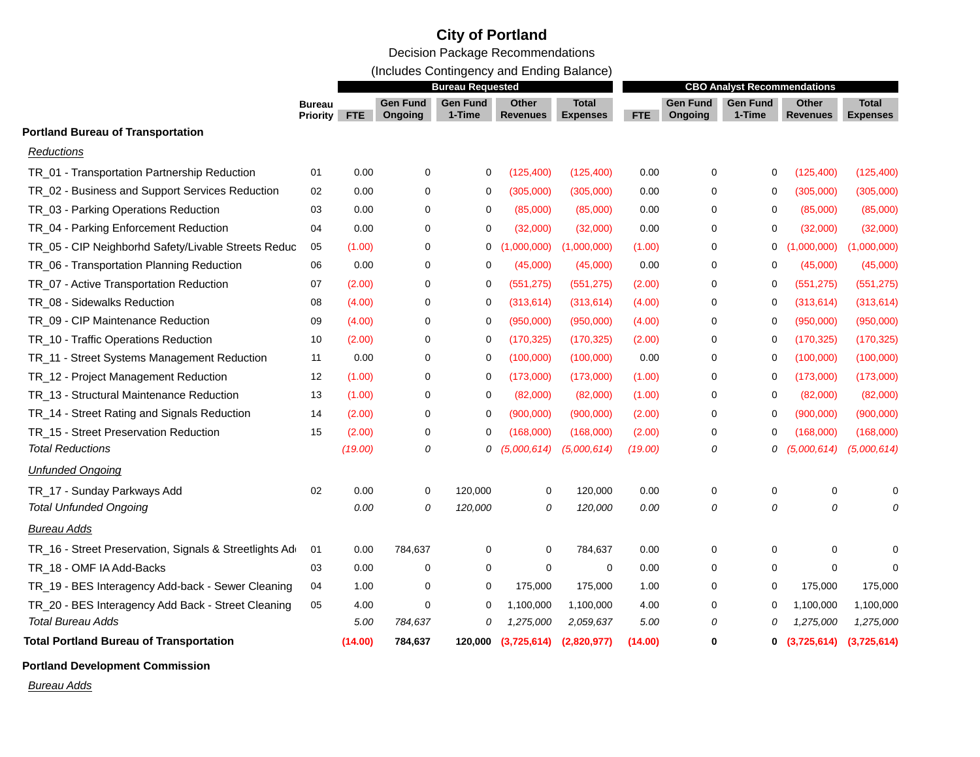Decision Package Recommendations

(Includes Contingency and Ending Balance)

|                                                        |                                  | <b>Bureau Requested</b> |                            |                           |                          |                                 | <b>CBO Analyst Recommendations</b> |                            |                           |                                 |                                 |
|--------------------------------------------------------|----------------------------------|-------------------------|----------------------------|---------------------------|--------------------------|---------------------------------|------------------------------------|----------------------------|---------------------------|---------------------------------|---------------------------------|
|                                                        | <b>Bureau</b><br><b>Priority</b> | <b>FTE</b>              | <b>Gen Fund</b><br>Ongoing | <b>Gen Fund</b><br>1-Time | Other<br><b>Revenues</b> | <b>Total</b><br><b>Expenses</b> | FTE.                               | <b>Gen Fund</b><br>Ongoing | <b>Gen Fund</b><br>1-Time | <b>Other</b><br><b>Revenues</b> | <b>Total</b><br><b>Expenses</b> |
| <b>Portland Bureau of Transportation</b>               |                                  |                         |                            |                           |                          |                                 |                                    |                            |                           |                                 |                                 |
| Reductions                                             |                                  |                         |                            |                           |                          |                                 |                                    |                            |                           |                                 |                                 |
| TR_01 - Transportation Partnership Reduction           | 01                               | 0.00                    | 0                          | 0                         | (125, 400)               | (125, 400)                      | 0.00                               | 0                          | 0                         | (125, 400)                      | (125, 400)                      |
| TR_02 - Business and Support Services Reduction        | 02                               | 0.00                    | 0                          | 0                         | (305,000)                | (305,000)                       | 0.00                               | 0                          | 0                         | (305,000)                       | (305,000)                       |
| TR_03 - Parking Operations Reduction                   | 03                               | 0.00                    | 0                          | 0                         | (85,000)                 | (85,000)                        | 0.00                               | 0                          | 0                         | (85,000)                        | (85,000)                        |
| TR_04 - Parking Enforcement Reduction                  | 04                               | 0.00                    | $\mathbf 0$                | 0                         | (32,000)                 | (32,000)                        | 0.00                               | 0                          | 0                         | (32,000)                        | (32,000)                        |
| TR_05 - CIP Neighborhd Safety/Livable Streets Reduc    | 05                               | (1.00)                  | $\mathbf 0$                | 0                         | ,000,000)                | (1,000,000)                     | (1.00)                             | 0                          | 0                         | (1,000,000)                     | (1,000,000)                     |
| TR_06 - Transportation Planning Reduction              | 06                               | 0.00                    | 0                          | $\Omega$                  | (45,000)                 | (45,000)                        | 0.00                               | 0                          | 0                         | (45,000)                        | (45,000)                        |
| TR_07 - Active Transportation Reduction                | 07                               | (2.00)                  | 0                          | $\Omega$                  | (551, 275)               | (551, 275)                      | (2.00)                             | 0                          | 0                         | (551, 275)                      | (551, 275)                      |
| TR_08 - Sidewalks Reduction                            | 08                               | (4.00)                  | 0                          | 0                         | (313, 614)               | (313, 614)                      | (4.00)                             | 0                          | 0                         | (313, 614)                      | (313, 614)                      |
| TR_09 - CIP Maintenance Reduction                      | 09                               | (4.00)                  | 0                          | 0                         | (950,000)                | (950,000)                       | (4.00)                             | 0                          | 0                         | (950,000)                       | (950,000)                       |
| TR_10 - Traffic Operations Reduction                   | 10                               | (2.00)                  | 0                          | 0                         | (170, 325)               | (170, 325)                      | (2.00)                             | 0                          | 0                         | (170, 325)                      | (170, 325)                      |
| TR_11 - Street Systems Management Reduction            | 11                               | 0.00                    | 0                          | 0                         | (100,000)                | (100,000)                       | 0.00                               | 0                          | 0                         | (100,000)                       | (100,000)                       |
| TR_12 - Project Management Reduction                   | 12                               | (1.00)                  | 0                          | 0                         | (173,000)                | (173,000)                       | (1.00)                             | 0                          | 0                         | (173,000)                       | (173,000)                       |
| TR_13 - Structural Maintenance Reduction               | 13                               | (1.00)                  | 0                          | 0                         | (82,000)                 | (82,000)                        | (1.00)                             | 0                          | 0                         | (82,000)                        | (82,000)                        |
| TR_14 - Street Rating and Signals Reduction            | 14                               | (2.00)                  | 0                          | 0                         | (900,000)                | (900,000)                       | (2.00)                             | 0                          | 0                         | (900,000)                       | (900,000)                       |
| TR_15 - Street Preservation Reduction                  | 15                               | (2.00)                  | $\mathbf 0$                | $\Omega$                  | (168,000)                | (168,000)                       | (2.00)                             | $\mathbf 0$                | 0                         | (168,000)                       | (168,000)                       |
| <b>Total Reductions</b>                                |                                  | (19.00)                 | 0                          | 0                         | (5,000,614)              | (5,000,614)                     | (19.00)                            | 0                          | 0                         | (5,000,614)                     | (5,000,614)                     |
| <b>Unfunded Ongoing</b>                                |                                  |                         |                            |                           |                          |                                 |                                    |                            |                           |                                 |                                 |
| TR_17 - Sunday Parkways Add                            | 02                               | 0.00                    | 0                          | 120,000                   | $\mathbf 0$              | 120,000                         | 0.00                               | 0                          | 0                         | 0                               | 0                               |
| <b>Total Unfunded Ongoing</b>                          |                                  | 0.00                    | 0                          | 120,000                   | 0                        | 120,000                         | 0.00                               | 0                          | 0                         | 0                               | 0                               |
| <b>Bureau Adds</b>                                     |                                  |                         |                            |                           |                          |                                 |                                    |                            |                           |                                 |                                 |
| TR_16 - Street Preservation, Signals & Streetlights Ad | 01                               | 0.00                    | 784,637                    | 0                         | $\mathbf 0$              | 784,637                         | 0.00                               | 0                          | 0                         | 0                               | $\Omega$                        |
| TR_18 - OMF IA Add-Backs                               | 03                               | 0.00                    | $\mathbf 0$                | 0                         | $\mathbf 0$              | 0                               | 0.00                               | $\mathbf 0$                | 0                         | 0                               | $\Omega$                        |
| TR_19 - BES Interagency Add-back - Sewer Cleaning      | 04                               | 1.00                    | 0                          | 0                         | 175,000                  | 175,000                         | 1.00                               | 0                          | 0                         | 175,000                         | 175,000                         |
| TR_20 - BES Interagency Add Back - Street Cleaning     | 05                               | 4.00                    | $\mathbf 0$                | $\mathbf 0$               | 1,100,000                | 1,100,000                       | 4.00                               | 0                          | $\Omega$                  | 1,100,000                       | 1,100,000                       |
| <b>Total Bureau Adds</b>                               |                                  | 5.00                    | 784,637                    | 0                         | 1,275,000                | 2,059,637                       | 5.00                               | 0                          | 0                         | 1,275,000                       | 1,275,000                       |
| <b>Total Portland Bureau of Transportation</b>         |                                  | (14.00)                 | 784,637                    | 120,000                   | (3,725,614)              | (2,820,977)                     | (14.00)                            | 0                          | $\mathbf 0$               | (3,725,614)                     | (3,725,614)                     |

**Portland Development Commission**

*Bureau Adds*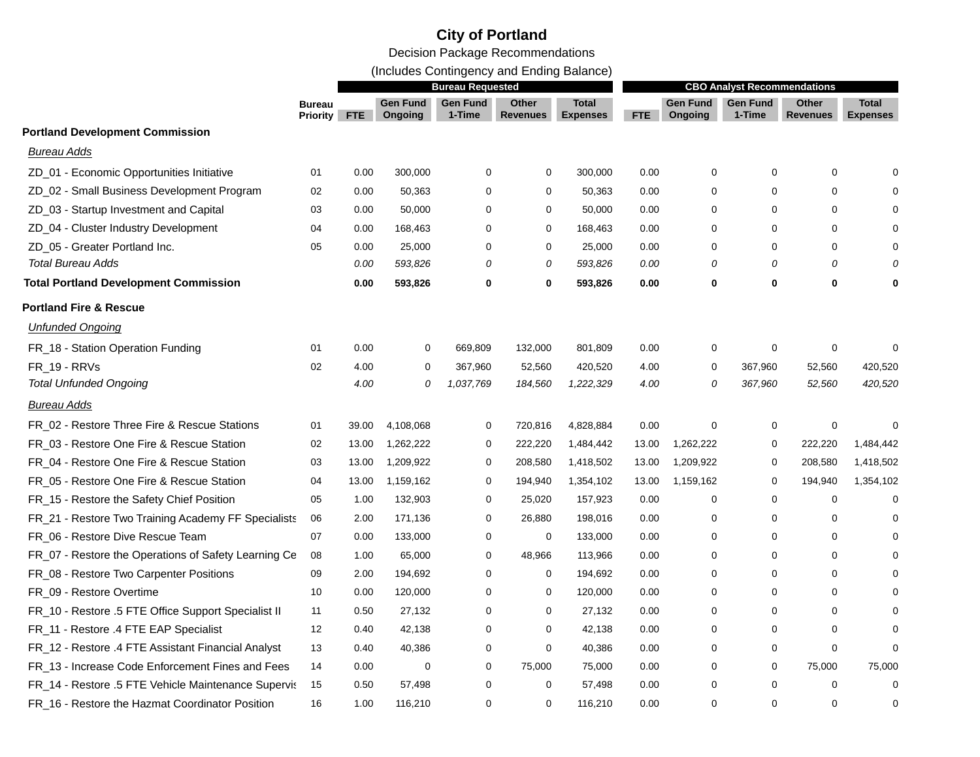(Includes Contingency and Ending Balance)

|                                                      |                           |            |                            | <b>Bureau Requested</b>   |                          |                                 |       |                            | <b>CBO Analyst Recommendations</b> |                          |                                 |
|------------------------------------------------------|---------------------------|------------|----------------------------|---------------------------|--------------------------|---------------------------------|-------|----------------------------|------------------------------------|--------------------------|---------------------------------|
|                                                      | <b>Bureau</b><br>Priority | <b>FTE</b> | <b>Gen Fund</b><br>Ongoing | <b>Gen Fund</b><br>1-Time | Other<br><b>Revenues</b> | <b>Total</b><br><b>Expenses</b> | FTE   | <b>Gen Fund</b><br>Ongoing | <b>Gen Fund</b><br>1-Time          | Other<br><b>Revenues</b> | <b>Total</b><br><b>Expenses</b> |
| <b>Portland Development Commission</b>               |                           |            |                            |                           |                          |                                 |       |                            |                                    |                          |                                 |
| <b>Bureau Adds</b>                                   |                           |            |                            |                           |                          |                                 |       |                            |                                    |                          |                                 |
| ZD_01 - Economic Opportunities Initiative            | 01                        | 0.00       | 300,000                    | 0                         | $\mathbf 0$              | 300,000                         | 0.00  | $\mathbf 0$                | $\mathbf 0$                        | 0                        | $\Omega$                        |
| ZD_02 - Small Business Development Program           | 02                        | 0.00       | 50,363                     | 0                         | $\mathbf 0$              | 50,363                          | 0.00  | 0                          | 0                                  | 0                        |                                 |
| ZD 03 - Startup Investment and Capital               | 03                        | 0.00       | 50,000                     | 0                         | $\mathbf 0$              | 50,000                          | 0.00  | 0                          | 0                                  | 0                        | $\Omega$                        |
| ZD_04 - Cluster Industry Development                 | 04                        | 0.00       | 168,463                    | 0                         | 0                        | 168,463                         | 0.00  | 0                          | 0                                  | 0                        | $\Omega$                        |
| ZD_05 - Greater Portland Inc.                        | 05                        | 0.00       | 25,000                     | $\Omega$                  | $\mathbf 0$              | 25,000                          | 0.00  | $\mathbf 0$                | $\Omega$                           | 0                        | $\Omega$                        |
| <b>Total Bureau Adds</b>                             |                           | 0.00       | 593,826                    | 0                         | 0                        | 593,826                         | 0.00  | 0                          | 0                                  | 0                        | 0                               |
| <b>Total Portland Development Commission</b>         |                           | 0.00       | 593,826                    | $\mathbf 0$               | 0                        | 593,826                         | 0.00  | 0                          | 0                                  | 0                        | ŋ                               |
| <b>Portland Fire &amp; Rescue</b>                    |                           |            |                            |                           |                          |                                 |       |                            |                                    |                          |                                 |
| <b>Unfunded Ongoing</b>                              |                           |            |                            |                           |                          |                                 |       |                            |                                    |                          |                                 |
| FR_18 - Station Operation Funding                    | 01                        | 0.00       | 0                          | 669,809                   | 132,000                  | 801,809                         | 0.00  | $\mathbf 0$                | 0                                  | 0                        | $\Omega$                        |
| FR_19 - RRVs                                         | 02                        | 4.00       | 0                          | 367,960                   | 52,560                   | 420,520                         | 4.00  | 0                          | 367,960                            | 52,560                   | 420,520                         |
| <b>Total Unfunded Ongoing</b>                        |                           | 4.00       | 0                          | 1,037,769                 | 184,560                  | 1,222,329                       | 4.00  | 0                          | 367,960                            | 52,560                   | 420,520                         |
| <b>Bureau Adds</b>                                   |                           |            |                            |                           |                          |                                 |       |                            |                                    |                          |                                 |
| FR 02 - Restore Three Fire & Rescue Stations         | 01                        | 39.00      | 4,108,068                  | 0                         | 720,816                  | 4,828,884                       | 0.00  | $\mathbf 0$                | 0                                  | 0                        | 0                               |
| FR 03 - Restore One Fire & Rescue Station            | 02                        | 13.00      | 1,262,222                  | 0                         | 222,220                  | 1,484,442                       | 13.00 | 1,262,222                  | 0                                  | 222,220                  | 1,484,442                       |
| FR_04 - Restore One Fire & Rescue Station            | 03                        | 13.00      | 1,209,922                  | $\mathbf 0$               | 208,580                  | 1,418,502                       | 13.00 | 1,209,922                  | 0                                  | 208,580                  | 1,418,502                       |
| FR 05 - Restore One Fire & Rescue Station            | 04                        | 13.00      | 1,159,162                  | 0                         | 194,940                  | 1,354,102                       | 13.00 | 1,159,162                  | 0                                  | 194,940                  | 1,354,102                       |
| FR_15 - Restore the Safety Chief Position            | 05                        | 1.00       | 132,903                    | 0                         | 25,020                   | 157,923                         | 0.00  | 0                          | $\mathbf 0$                        | 0                        | $\mathbf 0$                     |
| FR_21 - Restore Two Training Academy FF Specialists  | 06                        | 2.00       | 171,136                    | 0                         | 26,880                   | 198,016                         | 0.00  | 0                          | $\Omega$                           | 0                        | $\Omega$                        |
| FR_06 - Restore Dive Rescue Team                     | 07                        | 0.00       | 133,000                    | 0                         | $\mathbf 0$              | 133,000                         | 0.00  | 0                          | $\mathbf 0$                        | 0                        | $\Omega$                        |
| FR_07 - Restore the Operations of Safety Learning Ce | 08                        | 1.00       | 65,000                     | 0                         | 48,966                   | 113,966                         | 0.00  | 0                          | 0                                  | 0                        | $\Omega$                        |
| FR_08 - Restore Two Carpenter Positions              | 09                        | 2.00       | 194,692                    | 0                         | 0                        | 194,692                         | 0.00  | 0                          | 0                                  | 0                        | $\Omega$                        |
| FR_09 - Restore Overtime                             | 10                        | 0.00       | 120,000                    | $\Omega$                  | 0                        | 120,000                         | 0.00  | 0                          | $\Omega$                           | 0                        |                                 |
| FR_10 - Restore .5 FTE Office Support Specialist II  | 11                        | 0.50       | 27,132                     | 0                         | $\mathbf 0$              | 27,132                          | 0.00  | $\mathbf 0$                | $\mathbf 0$                        | 0                        | $\Omega$                        |
| FR_11 - Restore .4 FTE EAP Specialist                | 12                        | 0.40       | 42,138                     | 0                         | $\mathbf 0$              | 42,138                          | 0.00  | 0                          | 0                                  | 0                        | $\Omega$                        |
| FR_12 - Restore .4 FTE Assistant Financial Analyst   | 13                        | 0.40       | 40,386                     | 0                         | 0                        | 40,386                          | 0.00  | 0                          | 0                                  | 0                        | $\Omega$                        |
| FR_13 - Increase Code Enforcement Fines and Fees     | 14                        | 0.00       | 0                          | 0                         | 75,000                   | 75,000                          | 0.00  | 0                          | 0                                  | 75,000                   | 75,000                          |
| FR_14 - Restore .5 FTE Vehicle Maintenance Supervis  | 15                        | 0.50       | 57,498                     | $\Omega$                  | 0                        | 57,498                          | 0.00  | 0                          | $\mathbf 0$                        | 0                        | $\mathbf 0$                     |
| FR_16 - Restore the Hazmat Coordinator Position      | 16                        | 1.00       | 116,210                    | $\Omega$                  | $\mathbf 0$              | 116,210                         | 0.00  | $\Omega$                   | $\Omega$                           | $\Omega$                 | $\mathbf 0$                     |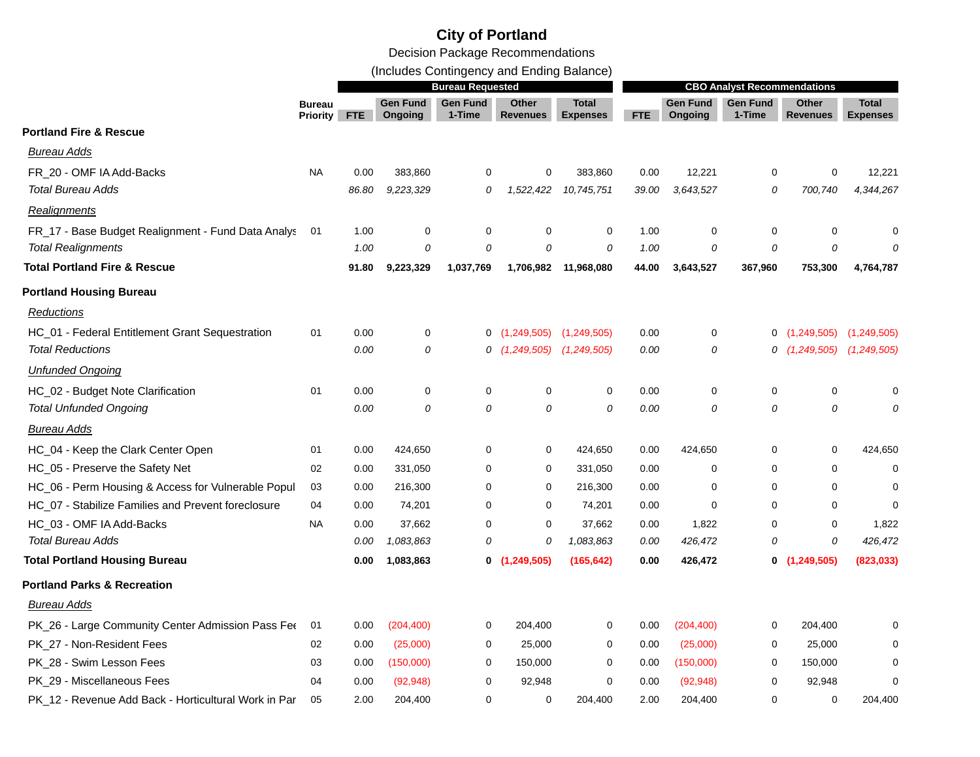Decision Package Recommendations

(Includes Contingency and Ending Balance)

|                                                      | <b>Bureau Requested</b>          |            |                            |                           |                          |                                 |       | <b>CBO Analyst Recommendations</b> |                           |                          |                                 |  |
|------------------------------------------------------|----------------------------------|------------|----------------------------|---------------------------|--------------------------|---------------------------------|-------|------------------------------------|---------------------------|--------------------------|---------------------------------|--|
|                                                      | <b>Bureau</b><br><b>Priority</b> | <b>FTE</b> | <b>Gen Fund</b><br>Ongoing | <b>Gen Fund</b><br>1-Time | Other<br><b>Revenues</b> | <b>Total</b><br><b>Expenses</b> | FTE.  | <b>Gen Fund</b><br>Ongoing         | <b>Gen Fund</b><br>1-Time | Other<br><b>Revenues</b> | <b>Total</b><br><b>Expenses</b> |  |
| <b>Portland Fire &amp; Rescue</b>                    |                                  |            |                            |                           |                          |                                 |       |                                    |                           |                          |                                 |  |
| <b>Bureau Adds</b>                                   |                                  |            |                            |                           |                          |                                 |       |                                    |                           |                          |                                 |  |
| FR 20 - OMF IA Add-Backs                             | <b>NA</b>                        | 0.00       | 383,860                    | 0                         | 0                        | 383,860                         | 0.00  | 12,221                             | 0                         | 0                        | 12,221                          |  |
| <b>Total Bureau Adds</b>                             |                                  | 86.80      | 9,223,329                  | 0                         | 1,522,422                | 10,745,751                      | 39.00 | 3.643.527                          | 0                         | 700,740                  | 4,344,267                       |  |
| Realignments                                         |                                  |            |                            |                           |                          |                                 |       |                                    |                           |                          |                                 |  |
| FR_17 - Base Budget Realignment - Fund Data Analys   | 01                               | 1.00       | $\mathbf 0$                | $\mathbf 0$               | 0                        | 0                               | 1.00  | $\mathbf 0$                        | 0                         | 0                        | 0                               |  |
| <b>Total Realignments</b>                            |                                  | 1.00       | 0                          | 0                         | 0                        | 0                               | 1.00  | 0                                  | 0                         | 0                        |                                 |  |
| <b>Total Portland Fire &amp; Rescue</b>              |                                  | 91.80      | 9,223,329                  | 1,037,769                 | 1,706,982                | 11,968,080                      | 44.00 | 3,643,527                          | 367,960                   | 753,300                  | 4,764,787                       |  |
| <b>Portland Housing Bureau</b>                       |                                  |            |                            |                           |                          |                                 |       |                                    |                           |                          |                                 |  |
| Reductions                                           |                                  |            |                            |                           |                          |                                 |       |                                    |                           |                          |                                 |  |
| HC_01 - Federal Entitlement Grant Sequestration      | 01                               | 0.00       | 0                          | 0                         | (1, 249, 505)            | (1,249,505)                     | 0.00  | 0                                  |                           | 0(1,249,505)             | (1,249,505)                     |  |
| <b>Total Reductions</b>                              |                                  | 0.00       | 0                          | 0                         | (1,249,505)              | (1,249,505)                     | 0.00  | 0                                  |                           | 0(1,249,505)             | (1,249,505)                     |  |
| <b>Unfunded Ongoing</b>                              |                                  |            |                            |                           |                          |                                 |       |                                    |                           |                          |                                 |  |
| HC_02 - Budget Note Clarification                    | 01                               | 0.00       | $\mathbf 0$                | $\mathbf 0$               | 0                        | 0                               | 0.00  | $\mathbf 0$                        | 0                         | 0                        | 0                               |  |
| <b>Total Unfunded Ongoing</b>                        |                                  | 0.00       | 0                          | $\theta$                  | $\mathcal{O}$            | 0                               | 0.00  | $\overline{O}$                     | 0                         | 0                        |                                 |  |
| Bureau Adds                                          |                                  |            |                            |                           |                          |                                 |       |                                    |                           |                          |                                 |  |
| HC_04 - Keep the Clark Center Open                   | 01                               | 0.00       | 424,650                    | $\mathbf 0$               | 0                        | 424,650                         | 0.00  | 424,650                            | 0                         | 0                        | 424,650                         |  |
| HC_05 - Preserve the Safety Net                      | 02                               | 0.00       | 331,050                    | $\mathbf 0$               | 0                        | 331,050                         | 0.00  | $\mathbf 0$                        | 0                         | 0                        | 0                               |  |
| HC_06 - Perm Housing & Access for Vulnerable Popul   | 03                               | 0.00       | 216,300                    | $\mathbf 0$               | 0                        | 216,300                         | 0.00  | 0                                  | 0                         | 0                        | 0                               |  |
| HC_07 - Stabilize Families and Prevent foreclosure   | 04                               | 0.00       | 74,201                     | $\mathbf 0$               | 0                        | 74,201                          | 0.00  | $\mathbf 0$                        | 0                         | $\mathbf 0$              | 0                               |  |
| HC_03 - OMF IA Add-Backs                             | <b>NA</b>                        | 0.00       | 37,662                     | $\mathbf 0$               | 0                        | 37,662                          | 0.00  | 1,822                              | 0                         | $\mathbf 0$              | 1,822                           |  |
| <b>Total Bureau Adds</b>                             |                                  | 0.00       | 1,083,863                  | 0                         | 0                        | 1,083,863                       | 0.00  | 426,472                            | 0                         | 0                        | 426,472                         |  |
| <b>Total Portland Housing Bureau</b>                 |                                  | 0.00       | 1,083,863                  | 0                         | (1, 249, 505)            | (165, 642)                      | 0.00  | 426,472                            |                           | 0(1,249,505)             | (823, 033)                      |  |
| <b>Portland Parks &amp; Recreation</b>               |                                  |            |                            |                           |                          |                                 |       |                                    |                           |                          |                                 |  |
| Bureau Adds                                          |                                  |            |                            |                           |                          |                                 |       |                                    |                           |                          |                                 |  |
| PK_26 - Large Community Center Admission Pass Fer    | 01                               | 0.00       | (204, 400)                 | 0                         | 204,400                  | 0                               | 0.00  | (204, 400)                         | 0                         | 204,400                  | 0                               |  |
| PK_27 - Non-Resident Fees                            | 02                               | 0.00       | (25,000)                   | $\mathbf 0$               | 25,000                   | 0                               | 0.00  | (25,000)                           | 0                         | 25,000                   | O                               |  |
| PK 28 - Swim Lesson Fees                             | 03                               | 0.00       | (150,000)                  | $\mathbf 0$               | 150,000                  | 0                               | 0.00  | (150,000)                          | 0                         | 150,000                  | 0                               |  |
| PK_29 - Miscellaneous Fees                           | 04                               | 0.00       | (92, 948)                  | $\Omega$                  | 92,948                   | 0                               | 0.00  | (92, 948)                          | 0                         | 92,948                   | $\Omega$                        |  |
| PK_12 - Revenue Add Back - Horticultural Work in Par | 05                               | 2.00       | 204,400                    | $\Omega$                  | 0                        | 204.400                         | 2.00  | 204,400                            | $\Omega$                  | $\mathbf 0$              | 204,400                         |  |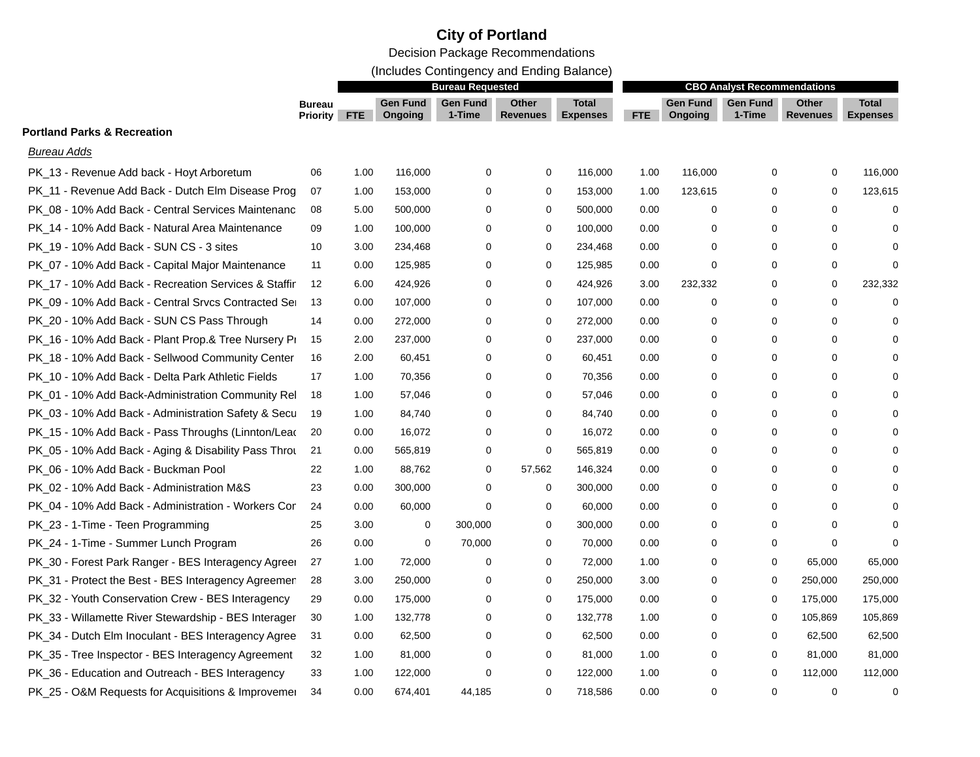(Includes Contingency and Ending Balance)

|                                                      |                                  |            |                            | <b>Bureau Requested</b>   |                          |                                 |      |                            | <b>CBO Analyst Recommendations</b> |                          |                                 |
|------------------------------------------------------|----------------------------------|------------|----------------------------|---------------------------|--------------------------|---------------------------------|------|----------------------------|------------------------------------|--------------------------|---------------------------------|
|                                                      | <b>Bureau</b><br><b>Priority</b> | <b>FTE</b> | <b>Gen Fund</b><br>Ongoing | <b>Gen Fund</b><br>1-Time | Other<br><b>Revenues</b> | <b>Total</b><br><b>Expenses</b> | FTE  | <b>Gen Fund</b><br>Ongoing | <b>Gen Fund</b><br>1-Time          | <b>Other</b><br>Revenues | <b>Total</b><br><b>Expenses</b> |
| <b>Portland Parks &amp; Recreation</b>               |                                  |            |                            |                           |                          |                                 |      |                            |                                    |                          |                                 |
| Bureau Adds                                          |                                  |            |                            |                           |                          |                                 |      |                            |                                    |                          |                                 |
| PK 13 - Revenue Add back - Hoyt Arboretum            | 06                               | 1.00       | 116,000                    | 0                         | $\mathbf 0$              | 116,000                         | 1.00 | 116,000                    | $\mathbf 0$                        | $\mathbf 0$              | 116,000                         |
| PK_11 - Revenue Add Back - Dutch Elm Disease Prog    | 07                               | 1.00       | 153,000                    | 0                         | $\mathbf 0$              | 153,000                         | 1.00 | 123,615                    | 0                                  | $\mathbf 0$              | 123,615                         |
| PK_08 - 10% Add Back - Central Services Maintenanc   | 08                               | 5.00       | 500,000                    | $\Omega$                  | $\mathbf 0$              | 500,000                         | 0.00 | 0                          | $\Omega$                           | 0                        | $\mathbf 0$                     |
| PK_14 - 10% Add Back - Natural Area Maintenance      | 09                               | 1.00       | 100,000                    | $\Omega$                  | 0                        | 100,000                         | 0.00 | 0                          | $\Omega$                           | 0                        | $\Omega$                        |
| PK_19 - 10% Add Back - SUN CS - 3 sites              | 10                               | 3.00       | 234,468                    | $\Omega$                  | 0                        | 234,468                         | 0.00 | 0                          | 0                                  | 0                        | $\mathbf 0$                     |
| PK_07 - 10% Add Back - Capital Major Maintenance     | 11                               | 0.00       | 125,985                    | 0                         | 0                        | 125,985                         | 0.00 | 0                          | 0                                  | 0                        | $\mathbf 0$                     |
| PK_17 - 10% Add Back - Recreation Services & Staffir | 12                               | 6.00       | 424,926                    | $\Omega$                  | 0                        | 424,926                         | 3.00 | 232,332                    | 0                                  | 0                        | 232,332                         |
| PK 09 - 10% Add Back - Central Srvcs Contracted Se   | 13                               | 0.00       | 107,000                    | 0                         | 0                        | 107,000                         | 0.00 | 0                          | 0                                  | 0                        | $\mathbf 0$                     |
| PK 20 - 10% Add Back - SUN CS Pass Through           | 14                               | 0.00       | 272,000                    | 0                         | $\mathbf 0$              | 272,000                         | 0.00 | 0                          | 0                                  | $\mathbf 0$              | $\Omega$                        |
| PK_16 - 10% Add Back - Plant Prop.& Tree Nursery Pi  | 15                               | 2.00       | 237,000                    | 0                         | $\mathbf 0$              | 237,000                         | 0.00 | 0                          | $\Omega$                           | 0                        | $\Omega$                        |
| PK_18 - 10% Add Back - Sellwood Community Center     | 16                               | 2.00       | 60,451                     | 0                         | 0                        | 60,451                          | 0.00 | 0                          | $\Omega$                           | 0                        | $\Omega$                        |
| PK_10 - 10% Add Back - Delta Park Athletic Fields    | 17                               | 1.00       | 70,356                     | $\Omega$                  | 0                        | 70,356                          | 0.00 | 0                          | $\Omega$                           | 0                        | $\Omega$                        |
| PK_01 - 10% Add Back-Administration Community Rel    | 18                               | 1.00       | 57,046                     | 0                         | 0                        | 57,046                          | 0.00 | 0                          | $\Omega$                           | 0                        | $\Omega$                        |
| PK_03 - 10% Add Back - Administration Safety & Secu  | 19                               | 1.00       | 84,740                     | $\Omega$                  | 0                        | 84,740                          | 0.00 | 0                          | $\Omega$                           | 0                        | $\Omega$                        |
| PK_15 - 10% Add Back - Pass Throughs (Linnton/Lead   | 20                               | 0.00       | 16,072                     | 0                         | 0                        | 16,072                          | 0.00 | 0                          | 0                                  | 0                        | $\Omega$                        |
| PK_05 - 10% Add Back - Aging & Disability Pass Throu | 21                               | 0.00       | 565,819                    | 0                         | 0                        | 565,819                         | 0.00 | 0                          | 0                                  | 0                        | $\Omega$                        |
| PK 06 - 10% Add Back - Buckman Pool                  | 22                               | 1.00       | 88,762                     | 0                         | 57,562                   | 146,324                         | 0.00 | 0                          | 0                                  | 0                        | $\Omega$                        |
| PK 02 - 10% Add Back - Administration M&S            | 23                               | 0.00       | 300,000                    | 0                         | $\mathbf 0$              | 300,000                         | 0.00 | 0                          | $\Omega$                           | 0                        | $\Omega$                        |
| PK 04 - 10% Add Back - Administration - Workers Cor  | 24                               | 0.00       | 60,000                     | $\Omega$                  | 0                        | 60,000                          | 0.00 | 0                          | 0                                  | 0                        | $\Omega$                        |
| PK_23 - 1-Time - Teen Programming                    | 25                               | 3.00       | 0                          | 300,000                   | 0                        | 300,000                         | 0.00 | 0                          | $\Omega$                           | $\mathbf 0$              | $\Omega$                        |
| PK_24 - 1-Time - Summer Lunch Program                | 26                               | 0.00       | $\mathbf 0$                | 70,000                    | 0                        | 70,000                          | 0.00 | 0                          | 0                                  | $\mathbf 0$              | $\Omega$                        |
| PK_30 - Forest Park Ranger - BES Interagency Agreer  | 27                               | 1.00       | 72,000                     | $\Omega$                  | 0                        | 72,000                          | 1.00 | 0                          | 0                                  | 65,000                   | 65,000                          |
| PK_31 - Protect the Best - BES Interagency Agreemer  | 28                               | 3.00       | 250,000                    | $\Omega$                  | $\mathbf 0$              | 250,000                         | 3.00 | 0                          | 0                                  | 250,000                  | 250,000                         |
| PK_32 - Youth Conservation Crew - BES Interagency    | 29                               | 0.00       | 175,000                    | $\Omega$                  | $\mathbf 0$              | 175,000                         | 0.00 | 0                          | $\Omega$                           | 175,000                  | 175,000                         |
| PK_33 - Willamette River Stewardship - BES Interager | 30                               | 1.00       | 132,778                    | 0                         | 0                        | 132,778                         | 1.00 | 0                          | $\Omega$                           | 105,869                  | 105,869                         |
| PK_34 - Dutch Elm Inoculant - BES Interagency Agree  | 31                               | 0.00       | 62,500                     | 0                         | $\mathbf 0$              | 62,500                          | 0.00 | 0                          | 0                                  | 62,500                   | 62,500                          |
| PK_35 - Tree Inspector - BES Interagency Agreement   | 32                               | 1.00       | 81,000                     | $\Omega$                  | 0                        | 81,000                          | 1.00 | 0                          | 0                                  | 81,000                   | 81,000                          |
| PK_36 - Education and Outreach - BES Interagency     | 33                               | 1.00       | 122,000                    | $\Omega$                  | $\mathbf 0$              | 122,000                         | 1.00 | 0                          | $\Omega$                           | 112,000                  | 112,000                         |
| PK_25 - O&M Requests for Acquisitions & Improvemer   | 34                               | 0.00       | 674,401                    | 44.185                    | $\mathbf 0$              | 718,586                         | 0.00 | $\Omega$                   | $\Omega$                           | $\mathbf 0$              | $\mathbf 0$                     |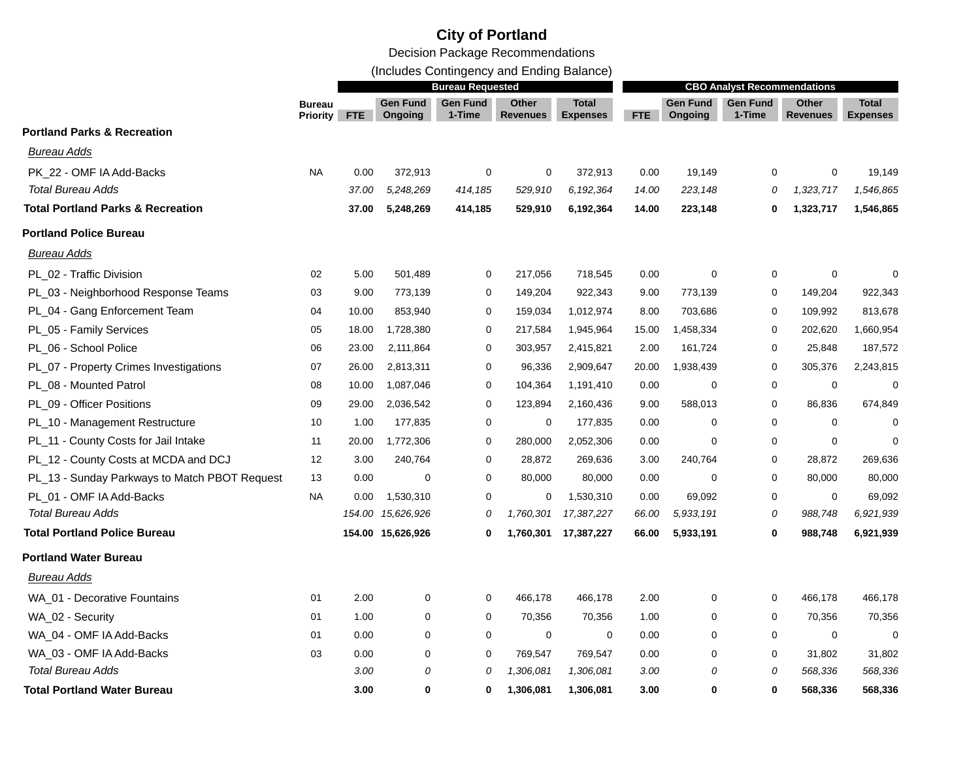(Includes Contingency and Ending Balance)

|                                               | <b>Bureau</b><br>Priority | <b>Bureau Requested</b> |                            |                           |                          |                                 | <b>CBO Analyst Recommendations</b> |                            |                    |                                 |                                 |  |
|-----------------------------------------------|---------------------------|-------------------------|----------------------------|---------------------------|--------------------------|---------------------------------|------------------------------------|----------------------------|--------------------|---------------------------------|---------------------------------|--|
|                                               |                           | <b>FTE</b>              | Gen Fund<br><b>Ongoing</b> | <b>Gen Fund</b><br>1-Time | Other<br><b>Revenues</b> | <b>Total</b><br><b>Expenses</b> | <b>FTE</b>                         | <b>Gen Fund</b><br>Ongoing | Gen Fund<br>1-Time | <b>Other</b><br><b>Revenues</b> | <b>Total</b><br><b>Expenses</b> |  |
| <b>Portland Parks &amp; Recreation</b>        |                           |                         |                            |                           |                          |                                 |                                    |                            |                    |                                 |                                 |  |
| <b>Bureau Adds</b>                            |                           |                         |                            |                           |                          |                                 |                                    |                            |                    |                                 |                                 |  |
| PK 22 - OMF IA Add-Backs                      | <b>NA</b>                 | 0.00                    | 372,913                    | 0                         | 0                        | 372,913                         | 0.00                               | 19,149                     | 0                  | $\mathbf 0$                     | 19,149                          |  |
| <b>Total Bureau Adds</b>                      |                           | 37.00                   | 5,248,269                  | 414,185                   | 529,910                  | 6, 192, 364                     | 14.00                              | 223,148                    | 0                  | 1,323,717                       | 1,546,865                       |  |
| <b>Total Portland Parks &amp; Recreation</b>  |                           | 37.00                   | 5,248,269                  | 414,185                   | 529,910                  | 6,192,364                       | 14.00                              | 223,148                    | 0                  | 1,323,717                       | 1,546,865                       |  |
| <b>Portland Police Bureau</b>                 |                           |                         |                            |                           |                          |                                 |                                    |                            |                    |                                 |                                 |  |
| Bureau Adds                                   |                           |                         |                            |                           |                          |                                 |                                    |                            |                    |                                 |                                 |  |
| PL_02 - Traffic Division                      | 02                        | 5.00                    | 501,489                    | 0                         | 217,056                  | 718,545                         | 0.00                               | $\mathbf 0$                | 0                  | $\mathbf 0$                     | $\Omega$                        |  |
| PL_03 - Neighborhood Response Teams           | 03                        | 9.00                    | 773,139                    | 0                         | 149,204                  | 922,343                         | 9.00                               | 773,139                    | 0                  | 149,204                         | 922,343                         |  |
| PL_04 - Gang Enforcement Team                 | 04                        | 10.00                   | 853,940                    | $\mathbf 0$               | 159,034                  | 1,012,974                       | 8.00                               | 703,686                    | 0                  | 109,992                         | 813,678                         |  |
| PL_05 - Family Services                       | 05                        | 18.00                   | 1,728,380                  | $\mathbf 0$               | 217,584                  | 1,945,964                       | 15.00                              | 1,458,334                  | 0                  | 202,620                         | 1,660,954                       |  |
| PL_06 - School Police                         | 06                        | 23.00                   | 2,111,864                  | $\mathbf 0$               | 303,957                  | 2,415,821                       | 2.00                               | 161,724                    | $\mathbf 0$        | 25,848                          | 187,572                         |  |
| PL_07 - Property Crimes Investigations        | 07                        | 26.00                   | 2,813,311                  | 0                         | 96,336                   | 2,909,647                       | 20.00                              | 1,938,439                  | 0                  | 305,376                         | 2,243,815                       |  |
| PL_08 - Mounted Patrol                        | 08                        | 10.00                   | 1,087,046                  | 0                         | 104,364                  | 1,191,410                       | 0.00                               | $\Omega$                   | 0                  | $\mathbf 0$                     |                                 |  |
| PL_09 - Officer Positions                     | 09                        | 29.00                   | 2,036,542                  | 0                         | 123,894                  | 2,160,436                       | 9.00                               | 588,013                    | $\mathbf 0$        | 86,836                          | 674,849                         |  |
| PL_10 - Management Restructure                | 10                        | 1.00                    | 177,835                    | $\mathbf 0$               | $\mathbf 0$              | 177,835                         | 0.00                               | 0                          | $\mathbf 0$        | $\mathbf 0$                     | $\Omega$                        |  |
| PL_11 - County Costs for Jail Intake          | 11                        | 20.00                   | 1,772,306                  | 0                         | 280,000                  | 2,052,306                       | 0.00                               | $\mathbf 0$                | 0                  | $\mathbf 0$                     | $\Omega$                        |  |
| PL_12 - County Costs at MCDA and DCJ          | 12                        | 3.00                    | 240,764                    | 0                         | 28,872                   | 269,636                         | 3.00                               | 240,764                    | 0                  | 28,872                          | 269,636                         |  |
| PL_13 - Sunday Parkways to Match PBOT Request | 13                        | 0.00                    | $\mathbf 0$                | $\mathbf 0$               | 80,000                   | 80,000                          | 0.00                               | $\mathbf 0$                | 0                  | 80,000                          | 80,000                          |  |
| PL 01 - OMF IA Add-Backs                      | <b>NA</b>                 | 0.00                    | 1,530,310                  | $\mathbf 0$               | 0                        | 1,530,310                       | 0.00                               | 69,092                     | 0                  | $\mathbf 0$                     | 69,092                          |  |
| <b>Total Bureau Adds</b>                      |                           | 154.00                  | 15,626,926                 | 0                         | 1,760,301                | 17,387,227                      | 66.00                              | 5,933,191                  | 0                  | 988,748                         | 6,921,939                       |  |
| <b>Total Portland Police Bureau</b>           |                           |                         | 154.00 15,626,926          | 0                         | 1,760,301                | 17,387,227                      | 66.00                              | 5,933,191                  | 0                  | 988,748                         | 6,921,939                       |  |
| <b>Portland Water Bureau</b>                  |                           |                         |                            |                           |                          |                                 |                                    |                            |                    |                                 |                                 |  |
| <b>Bureau Adds</b>                            |                           |                         |                            |                           |                          |                                 |                                    |                            |                    |                                 |                                 |  |
| WA 01 - Decorative Fountains                  | 01                        | 2.00                    | 0                          | 0                         | 466,178                  | 466,178                         | 2.00                               | 0                          | 0                  | 466,178                         | 466,178                         |  |
| WA_02 - Security                              | 01                        | 1.00                    | $\mathbf 0$                | $\mathbf 0$               | 70,356                   | 70,356                          | 1.00                               | $\mathbf 0$                | 0                  | 70,356                          | 70,356                          |  |
| WA_04 - OMF IA Add-Backs                      | 01                        | 0.00                    | $\mathbf 0$                | $\mathbf 0$               | $\mathbf 0$              | $\mathbf 0$                     | 0.00                               | $\mathbf 0$                | 0                  | $\mathbf 0$                     | $\Omega$                        |  |
| WA_03 - OMF IA Add-Backs                      | 03                        | 0.00                    | $\mathbf 0$                | 0                         | 769,547                  | 769,547                         | 0.00                               | 0                          | 0                  | 31,802                          | 31,802                          |  |
| <b>Total Bureau Adds</b>                      |                           | 3.00                    | 0                          | 0                         | 1,306,081                | 1,306,081                       | 3.00                               | 0                          | 0                  | 568,336                         | 568,336                         |  |
| <b>Total Portland Water Bureau</b>            |                           | 3.00                    | $\bf{0}$                   | 0                         | 1,306,081                | 1,306,081                       | 3.00                               | 0                          | 0                  | 568,336                         | 568,336                         |  |